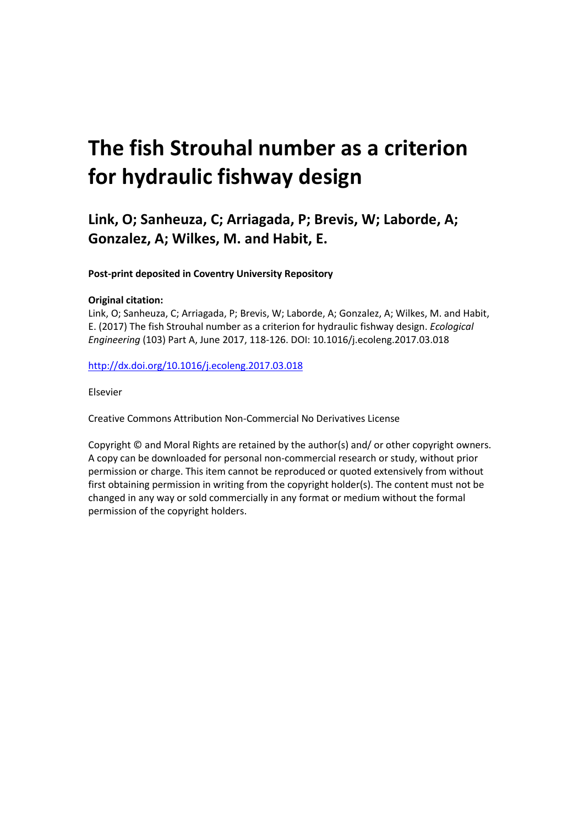# **The fish Strouhal number as a criterion for hydraulic fishway design**

# **Link, O; Sanheuza, C; Arriagada, P; Brevis, W; Laborde, A; Gonzalez, A; Wilkes, M. and Habit, E.**

**Post-print deposited in Coventry University Repository** 

# **Original citation:**

Link, O; Sanheuza, C; Arriagada, P; Brevis, W; Laborde, A; Gonzalez, A; Wilkes, M. and Habit, E. (2017) The fish Strouhal number as a criterion for hydraulic fishway design. *Ecological Engineering* (103) Part A, June 2017, 118-126. DOI: 10.1016/j.ecoleng.2017.03.018

<http://dx.doi.org/10.1016/j.ecoleng.2017.03.018>

Elsevier

Creative Commons Attribution Non-Commercial No Derivatives License

Copyright © and Moral Rights are retained by the author(s) and/ or other copyright owners. A copy can be downloaded for personal non-commercial research or study, without prior permission or charge. This item cannot be reproduced or quoted extensively from without first obtaining permission in writing from the copyright holder(s). The content must not be changed in any way or sold commercially in any format or medium without the formal permission of the copyright holders.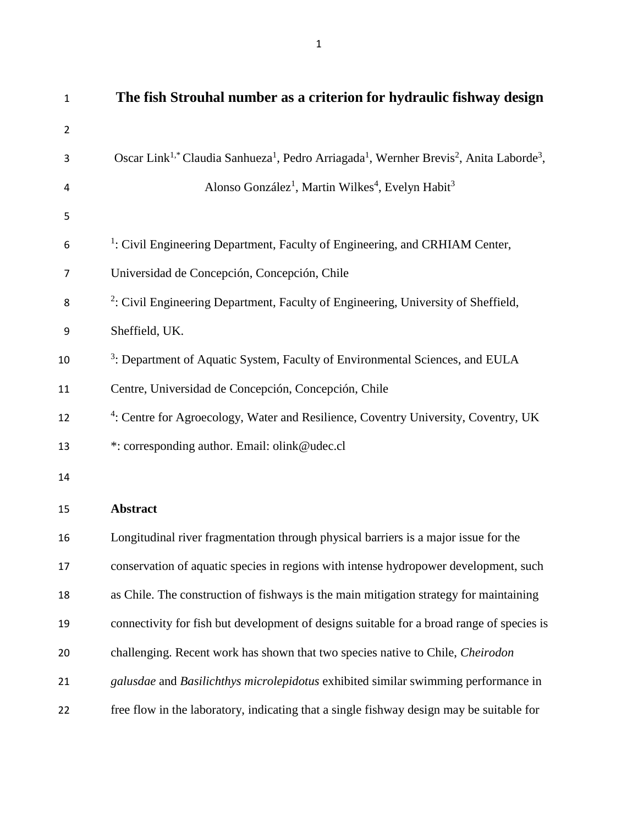| $\mathbf{1}$   | The fish Strouhal number as a criterion for hydraulic fishway design                                                                                |
|----------------|-----------------------------------------------------------------------------------------------------------------------------------------------------|
| $\overline{2}$ |                                                                                                                                                     |
| 3              | Oscar Link <sup>1,*</sup> Claudia Sanhueza <sup>1</sup> , Pedro Arriagada <sup>1</sup> , Wernher Brevis <sup>2</sup> , Anita Laborde <sup>3</sup> , |
| 4              | Alonso González <sup>1</sup> , Martin Wilkes <sup>4</sup> , Evelyn Habit <sup>3</sup>                                                               |
| 5              |                                                                                                                                                     |
| 6              | <sup>1</sup> : Civil Engineering Department, Faculty of Engineering, and CRHIAM Center,                                                             |
| 7              | Universidad de Concepción, Concepción, Chile                                                                                                        |
| 8              | <sup>2</sup> : Civil Engineering Department, Faculty of Engineering, University of Sheffield,                                                       |
| 9              | Sheffield, UK.                                                                                                                                      |
| 10             | <sup>3</sup> : Department of Aquatic System, Faculty of Environmental Sciences, and EULA                                                            |
| 11             | Centre, Universidad de Concepción, Concepción, Chile                                                                                                |
| 12             | <sup>4</sup> : Centre for Agroecology, Water and Resilience, Coventry University, Coventry, UK                                                      |
| 13             | *: corresponding author. Email: olink@udec.cl                                                                                                       |
| 14             |                                                                                                                                                     |
| 15             | <b>Abstract</b>                                                                                                                                     |
| 16             | Longitudinal river fragmentation through physical barriers is a major issue for the                                                                 |
| 17             | conservation of aquatic species in regions with intense hydropower development, such                                                                |
| 18             | as Chile. The construction of fishways is the main mitigation strategy for maintaining                                                              |
| 19             | connectivity for fish but development of designs suitable for a broad range of species is                                                           |
| 20             | challenging. Recent work has shown that two species native to Chile, Cheirodon                                                                      |
| 21             | galusdae and Basilichthys microlepidotus exhibited similar swimming performance in                                                                  |
| 22             | free flow in the laboratory, indicating that a single fishway design may be suitable for                                                            |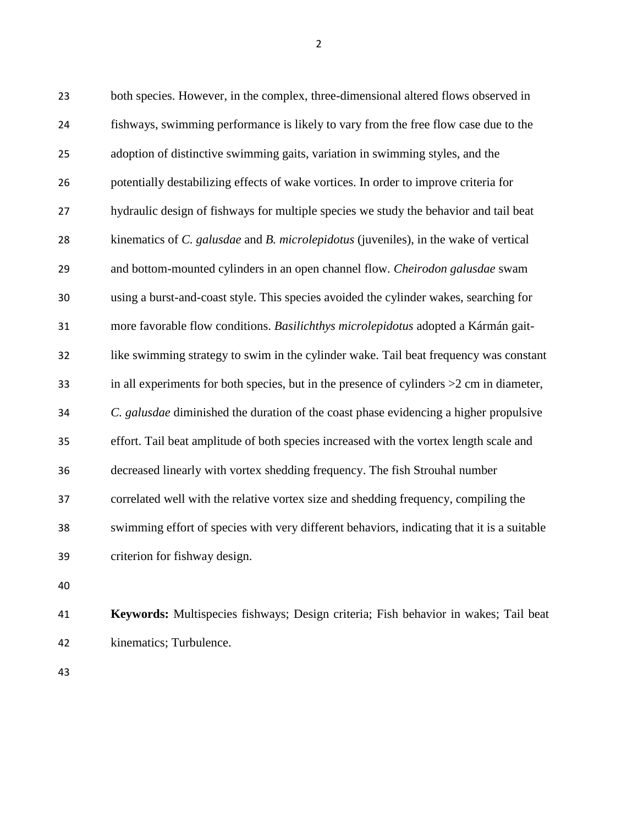both species. However, in the complex, three-dimensional altered flows observed in fishways, swimming performance is likely to vary from the free flow case due to the adoption of distinctive swimming gaits, variation in swimming styles, and the potentially destabilizing effects of wake vortices. In order to improve criteria for hydraulic design of fishways for multiple species we study the behavior and tail beat kinematics of *C. galusdae* and *B. microlepidotus* (juveniles), in the wake of vertical and bottom-mounted cylinders in an open channel flow. *Cheirodon galusdae* swam using a burst-and-coast style. This species avoided the cylinder wakes, searching for more favorable flow conditions. *Basilichthys microlepidotus* adopted a Kármán gait- like swimming strategy to swim in the cylinder wake. Tail beat frequency was constant in all experiments for both species, but in the presence of cylinders >2 cm in diameter, *C. galusdae* diminished the duration of the coast phase evidencing a higher propulsive effort. Tail beat amplitude of both species increased with the vortex length scale and decreased linearly with vortex shedding frequency. The fish Strouhal number correlated well with the relative vortex size and shedding frequency, compiling the swimming effort of species with very different behaviors, indicating that it is a suitable criterion for fishway design.

 **Keywords:** Multispecies fishways; Design criteria; Fish behavior in wakes; Tail beat kinematics; Turbulence.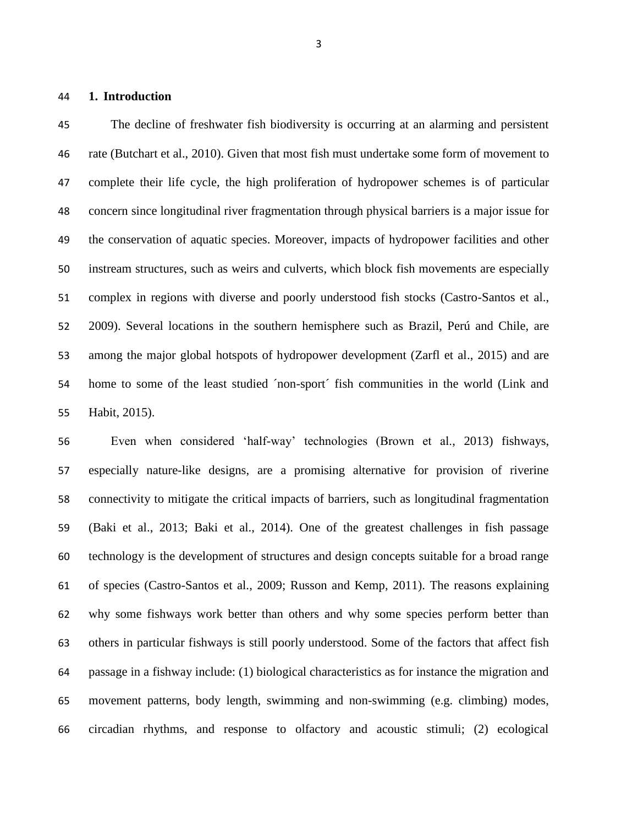**1. Introduction**

 The decline of freshwater fish biodiversity is occurring at an alarming and persistent rate (Butchart et al., 2010). Given that most fish must undertake some form of movement to complete their life cycle, the high proliferation of hydropower schemes is of particular concern since longitudinal river fragmentation through physical barriers is a major issue for the conservation of aquatic species. Moreover, impacts of hydropower facilities and other instream structures, such as weirs and culverts, which block fish movements are especially complex in regions with diverse and poorly understood fish stocks (Castro-Santos et al., 2009). Several locations in the southern hemisphere such as Brazil, Perú and Chile, are among the major global hotspots of hydropower development (Zarfl et al., 2015) and are home to some of the least studied ´non-sport´ fish communities in the world (Link and Habit, 2015).

 Even when considered 'half-way' technologies (Brown et al., 2013) fishways, especially nature-like designs, are a promising alternative for provision of riverine connectivity to mitigate the critical impacts of barriers, such as longitudinal fragmentation (Baki et al., 2013; Baki et al., 2014). One of the greatest challenges in fish passage technology is the development of structures and design concepts suitable for a broad range of species (Castro-Santos et al., 2009; Russon and Kemp, 2011). The reasons explaining why some fishways work better than others and why some species perform better than others in particular fishways is still poorly understood. Some of the factors that affect fish passage in a fishway include: (1) biological characteristics as for instance the migration and movement patterns, body length, swimming and non-swimming (e.g. climbing) modes, circadian rhythms, and response to olfactory and acoustic stimuli; (2) ecological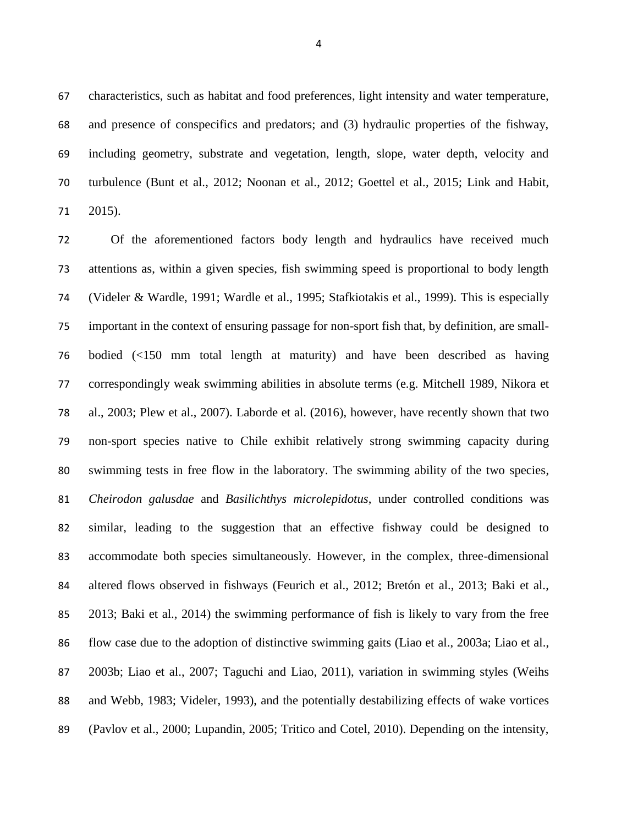characteristics, such as habitat and food preferences, light intensity and water temperature, and presence of conspecifics and predators; and (3) hydraulic properties of the fishway, including geometry, substrate and vegetation, length, slope, water depth, velocity and turbulence (Bunt et al., 2012; Noonan et al., 2012; Goettel et al., 2015; Link and Habit, 2015).

 Of the aforementioned factors body length and hydraulics have received much attentions as, within a given species, fish swimming speed is proportional to body length (Videler & Wardle, 1991; Wardle et al., 1995; Stafkiotakis et al., 1999). This is especially important in the context of ensuring passage for non-sport fish that, by definition, are small- bodied (<150 mm total length at maturity) and have been described as having correspondingly weak swimming abilities in absolute terms (e.g. Mitchell 1989, Nikora et al., 2003; Plew et al., 2007). Laborde et al. (2016), however, have recently shown that two non-sport species native to Chile exhibit relatively strong swimming capacity during swimming tests in free flow in the laboratory. The swimming ability of the two species, *Cheirodon galusdae* and *Basilichthys microlepidotus*, under controlled conditions was similar, leading to the suggestion that an effective fishway could be designed to accommodate both species simultaneously. However, in the complex, three-dimensional altered flows observed in fishways (Feurich et al., 2012; Bretón et al., 2013; Baki et al., 2013; Baki et al., 2014) the swimming performance of fish is likely to vary from the free flow case due to the adoption of distinctive swimming gaits (Liao et al., 2003a; Liao et al., 2003b; Liao et al., 2007; Taguchi and Liao, 2011), variation in swimming styles (Weihs and Webb, 1983; Videler, 1993), and the potentially destabilizing effects of wake vortices (Pavlov et al., 2000; Lupandin, 2005; Tritico and Cotel, 2010). Depending on the intensity,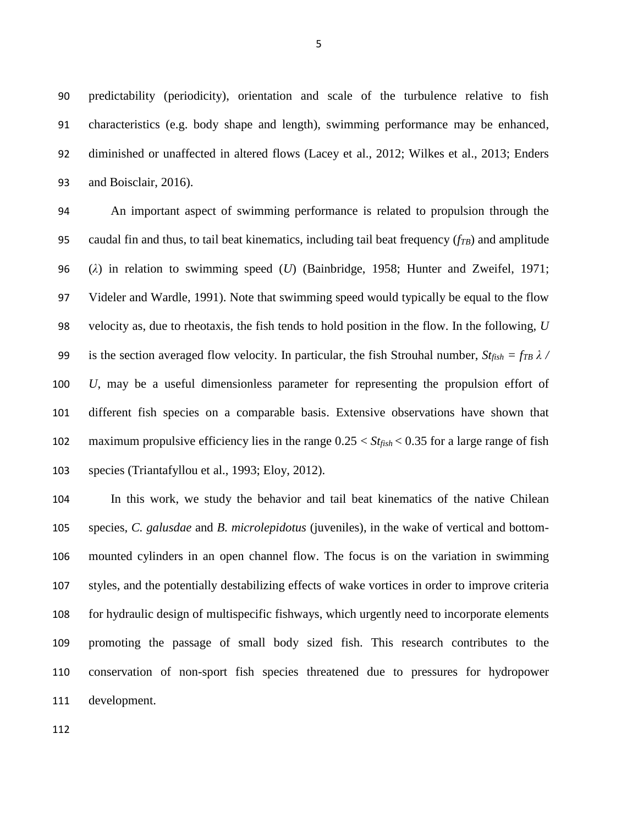predictability (periodicity), orientation and scale of the turbulence relative to fish characteristics (e.g. body shape and length), swimming performance may be enhanced, diminished or unaffected in altered flows (Lacey et al., 2012; Wilkes et al., 2013; Enders and Boisclair, 2016).

 An important aspect of swimming performance is related to propulsion through the caudal fin and thus, to tail beat kinematics, including tail beat frequency (*fTB*) and amplitude (*λ*) in relation to swimming speed (*U*) (Bainbridge, 1958; Hunter and Zweifel, 1971; Videler and Wardle, 1991). Note that swimming speed would typically be equal to the flow velocity as, due to rheotaxis, the fish tends to hold position in the flow. In the following, *U* 99 is the section averaged flow velocity. In particular, the fish Strouhal number,  $St_{fish} = fr_B \lambda$  / *U*, may be a useful dimensionless parameter for representing the propulsion effort of different fish species on a comparable basis. Extensive observations have shown that maximum propulsive efficiency lies in the range 0.25 < *Stfish* < 0.35 for a large range of fish species (Triantafyllou et al., 1993; Eloy, 2012).

 In this work, we study the behavior and tail beat kinematics of the native Chilean species, *C. galusdae* and *B. microlepidotus* (juveniles), in the wake of vertical and bottom- mounted cylinders in an open channel flow. The focus is on the variation in swimming styles, and the potentially destabilizing effects of wake vortices in order to improve criteria for hydraulic design of multispecific fishways, which urgently need to incorporate elements promoting the passage of small body sized fish. This research contributes to the conservation of non-sport fish species threatened due to pressures for hydropower development.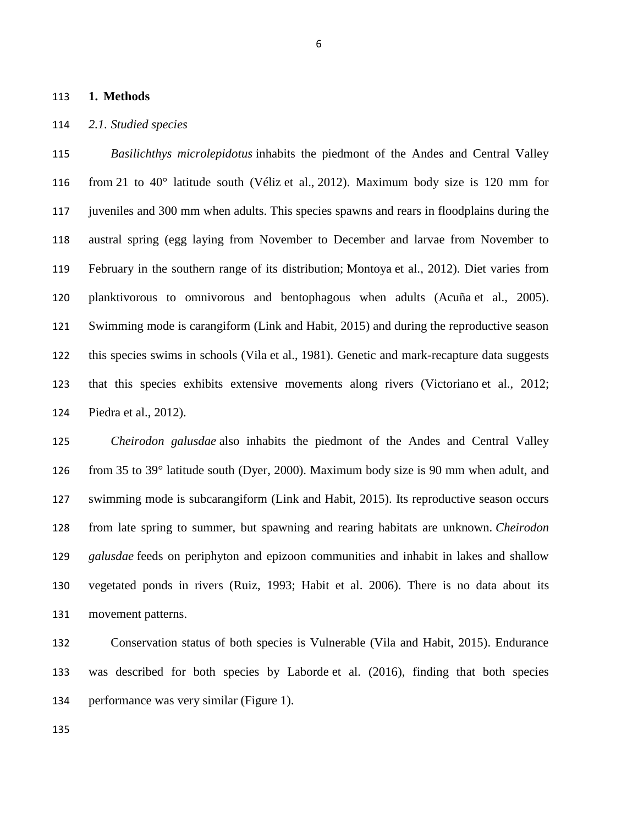#### **1. Methods**

#### *2.1. Studied species*

 *Basilichthys microlepidotus* inhabits the piedmont of the Andes and Central Valley from 21 to 40° latitude south (Véliz et al., 2012). Maximum body size is 120 mm for juveniles and 300 mm when adults. This species spawns and rears in floodplains during the austral spring (egg laying from November to December and larvae from November to February in the southern range of its distribution; Montoya et al., 2012). Diet varies from planktivorous to omnivorous and bentophagous when adults (Acuña et al., 2005). Swimming mode is carangiform (Link and Habit, 2015) and during the reproductive season this species swims in schools (Vila et al., 1981). Genetic and mark-recapture data suggests that this species exhibits extensive movements along rivers (Victoriano et al., 2012; Piedra et al., 2012).

 *Cheirodon galusdae* also inhabits the piedmont of the Andes and Central Valley from 35 to 39° latitude south (Dyer, 2000). Maximum body size is 90 mm when adult, and swimming mode is subcarangiform (Link and Habit, 2015). Its reproductive season occurs from late spring to summer, but spawning and rearing habitats are unknown. *Cheirodon galusdae* feeds on periphyton and epizoon communities and inhabit in lakes and shallow vegetated ponds in rivers (Ruiz, 1993; Habit et al. 2006). There is no data about its movement patterns.

 Conservation status of both species is Vulnerable (Vila and Habit, 2015). Endurance was described for both species by Laborde et al. (2016), finding that both species performance was very similar (Figure 1).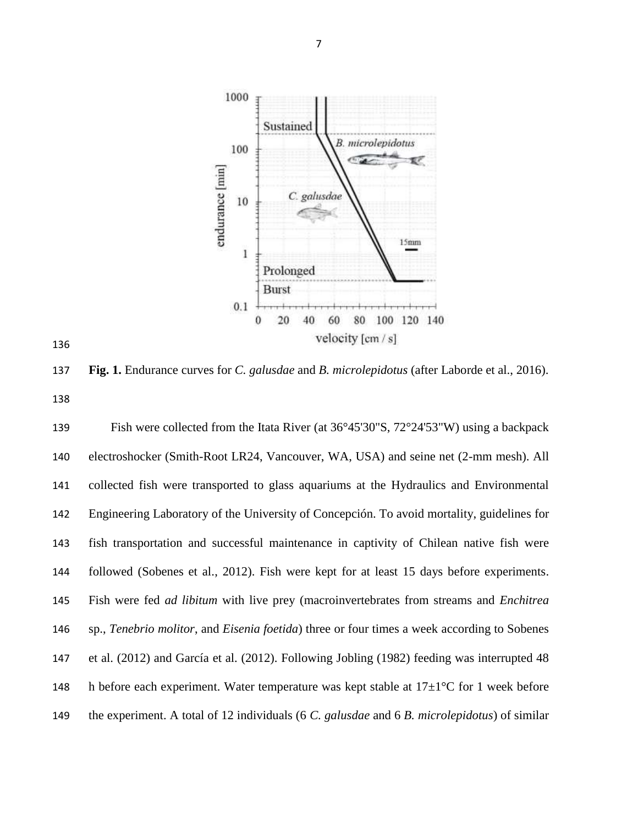



 **Fig. 1.** Endurance curves for *C. galusdae* and *B. microlepidotus* (after Laborde et al., 2016). 

 Fish were collected from the Itata River (at 36°45'30"S, 72°24'53"W) using a backpack electroshocker (Smith-Root LR24, Vancouver, WA, USA) and seine net (2-mm mesh). All collected fish were transported to glass aquariums at the Hydraulics and Environmental Engineering Laboratory of the University of Concepción. To avoid mortality, guidelines for fish transportation and successful maintenance in captivity of Chilean native fish were followed (Sobenes et al., 2012). Fish were kept for at least 15 days before experiments. Fish were fed *ad libitum* with live prey (macroinvertebrates from streams and *Enchitrea* sp., *Tenebrio molitor*, and *Eisenia foetida*) three or four times a week according to Sobenes et al. (2012) and García et al. (2012). Following Jobling (1982) feeding was interrupted 48 148 h before each experiment. Water temperature was kept stable at  $17\pm1\degree$ C for 1 week before the experiment. A total of 12 individuals (6 *C. galusdae* and 6 *B. microlepidotus*) of similar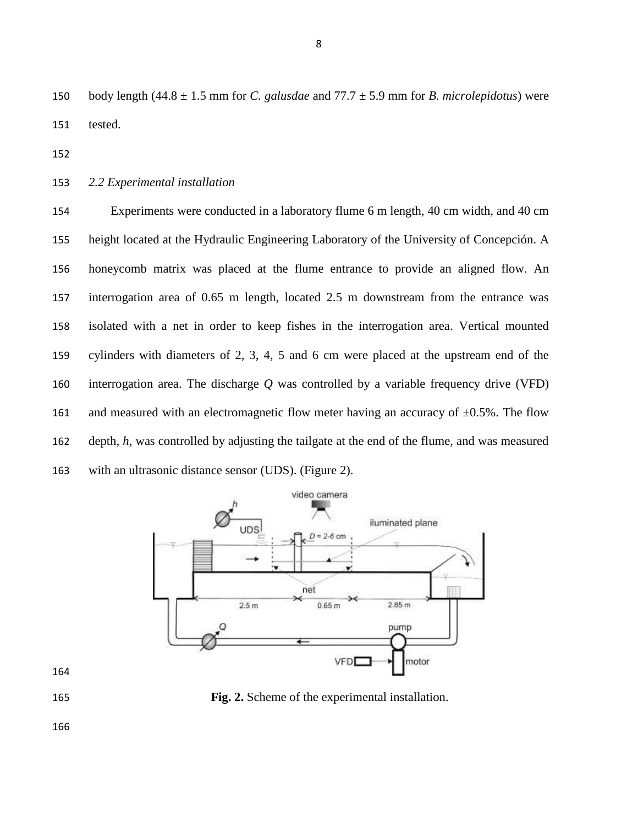body length (44.8 ± 1.5 mm for *C. galusdae* and 77.7 ± 5.9 mm for *B. microlepidotus*) were tested.

*2.2 Experimental installation*

 Experiments were conducted in a laboratory flume 6 m length, 40 cm width, and 40 cm height located at the Hydraulic Engineering Laboratory of the University of Concepción. A honeycomb matrix was placed at the flume entrance to provide an aligned flow. An interrogation area of 0.65 m length, located 2.5 m downstream from the entrance was isolated with a net in order to keep fishes in the interrogation area. Vertical mounted cylinders with diameters of 2, 3, 4, 5 and 6 cm were placed at the upstream end of the interrogation area. The discharge *Q* was controlled by a variable frequency drive (VFD) 161 and measured with an electromagnetic flow meter having an accuracy of  $\pm 0.5$ %. The flow depth, *h*, was controlled by adjusting the tailgate at the end of the flume, and was measured with an ultrasonic distance sensor (UDS). (Figure 2).



**Fig. 2.** Scheme of the experimental installation.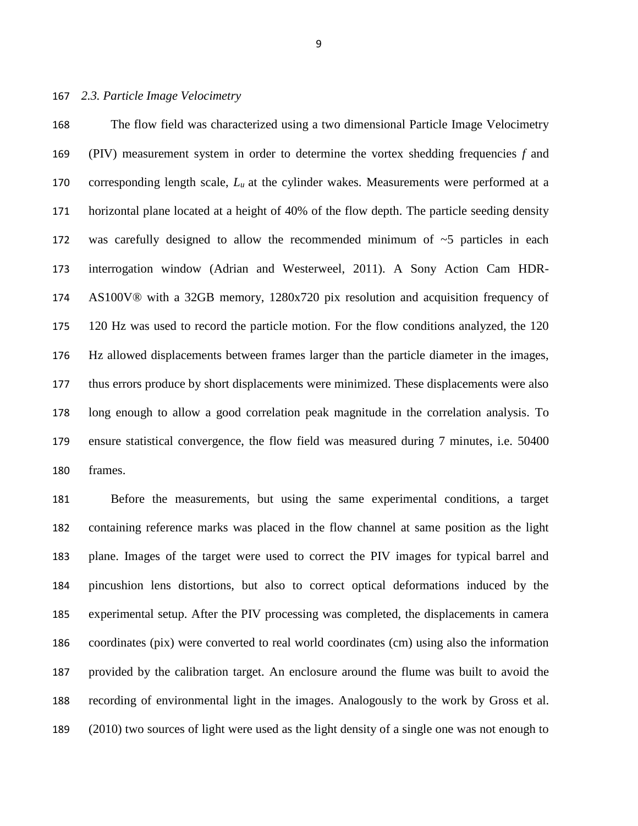#### *2.3. Particle Image Velocimetry*

 The flow field was characterized using a two dimensional Particle Image Velocimetry (PIV) measurement system in order to determine the vortex shedding frequencies *f* and corresponding length scale, *L<sup>u</sup>* at the cylinder wakes. Measurements were performed at a horizontal plane located at a height of 40% of the flow depth. The particle seeding density was carefully designed to allow the recommended minimum of ~5 particles in each interrogation window (Adrian and Westerweel, 2011). A Sony Action Cam HDR- AS100V® with a 32GB memory, 1280x720 pix resolution and acquisition frequency of 120 Hz was used to record the particle motion. For the flow conditions analyzed, the 120 Hz allowed displacements between frames larger than the particle diameter in the images, thus errors produce by short displacements were minimized. These displacements were also long enough to allow a good correlation peak magnitude in the correlation analysis. To ensure statistical convergence, the flow field was measured during 7 minutes, i.e. 50400 frames.

 Before the measurements, but using the same experimental conditions, a target containing reference marks was placed in the flow channel at same position as the light plane. Images of the target were used to correct the PIV images for typical barrel and pincushion lens distortions, but also to correct optical deformations induced by the experimental setup. After the PIV processing was completed, the displacements in camera coordinates (pix) were converted to real world coordinates (cm) using also the information provided by the calibration target. An enclosure around the flume was built to avoid the recording of environmental light in the images. Analogously to the work by Gross et al. (2010) two sources of light were used as the light density of a single one was not enough to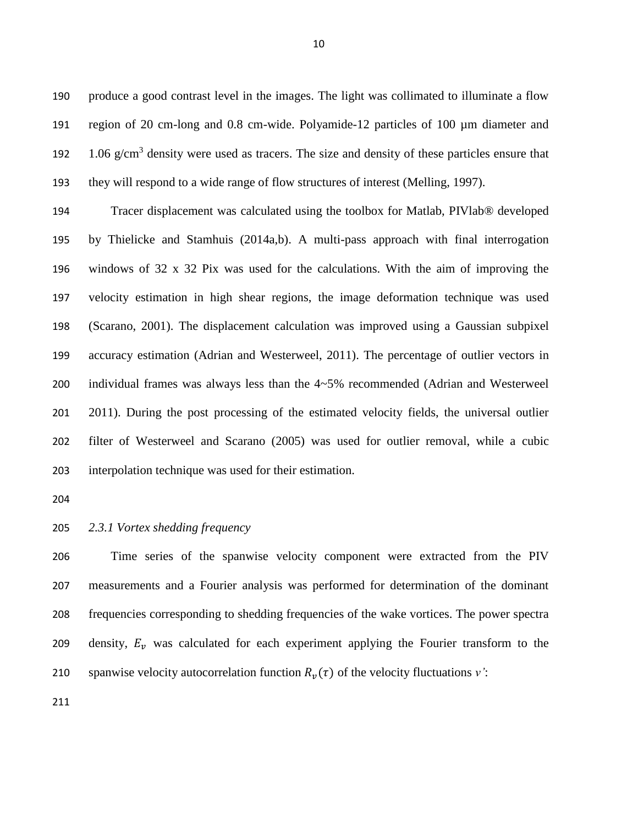produce a good contrast level in the images. The light was collimated to illuminate a flow region of 20 cm-long and 0.8 cm-wide. Polyamide-12 particles of 100 µm diameter and 192 1.06  $g/cm<sup>3</sup>$  density were used as tracers. The size and density of these particles ensure that they will respond to a wide range of flow structures of interest (Melling, 1997).

 Tracer displacement was calculated using the toolbox for Matlab, PIVlab® developed by Thielicke and Stamhuis (2014a,b). A multi-pass approach with final interrogation windows of 32 x 32 Pix was used for the calculations. With the aim of improving the velocity estimation in high shear regions, the image deformation technique was used (Scarano, 2001). The displacement calculation was improved using a Gaussian subpixel accuracy estimation (Adrian and Westerweel, 2011). The percentage of outlier vectors in individual frames was always less than the 4~5% recommended (Adrian and Westerweel 201 2011). During the post processing of the estimated velocity fields, the universal outlier filter of Westerweel and Scarano (2005) was used for outlier removal, while a cubic interpolation technique was used for their estimation.

# *2.3.1 Vortex shedding frequency*

 Time series of the spanwise velocity component were extracted from the PIV measurements and a Fourier analysis was performed for determination of the dominant frequencies corresponding to shedding frequencies of the wake vortices. The power spectra 209 density,  $E_n$  was calculated for each experiment applying the Fourier transform to the 210 spanwise velocity autocorrelation function  $R<sub>v</sub>(\tau)$  of the velocity fluctuations *v*':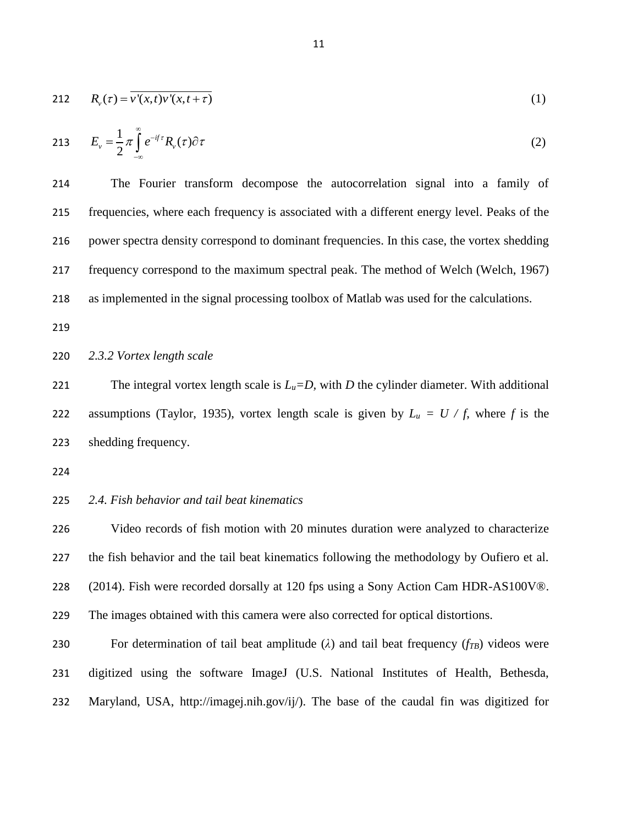$$
212 \qquad R_{\nu}(\tau) = \overline{\nu'(x,t)\nu'(x,t+\tau)} \tag{1}
$$

213 
$$
E_{\nu} = \frac{1}{2} \pi \int_{-\infty}^{\infty} e^{-i f \tau} R_{\nu}(\tau) \partial \tau
$$
 (2)

 The Fourier transform decompose the autocorrelation signal into a family of frequencies, where each frequency is associated with a different energy level. Peaks of the power spectra density correspond to dominant frequencies. In this case, the vortex shedding frequency correspond to the maximum spectral peak. The method of Welch (Welch, 1967) as implemented in the signal processing toolbox of Matlab was used for the calculations.

219

# 220 *2.3.2 Vortex length scale*

221 The integral vortex length scale is  $L<sub>u</sub>=D$ , with *D* the cylinder diameter. With additional 222 assumptions (Taylor, 1935), vortex length scale is given by  $L_u = U / f$ , where f is the 223 shedding frequency.

224

# 225 *2.4. Fish behavior and tail beat kinematics*

 Video records of fish motion with 20 minutes duration were analyzed to characterize the fish behavior and the tail beat kinematics following the methodology by Oufiero et al. (2014). Fish were recorded dorsally at 120 fps using a Sony Action Cam HDR-AS100V®. The images obtained with this camera were also corrected for optical distortions.

**230** For determination of tail beat amplitude (λ) and tail beat frequency ( $f_{TB}$ ) videos were 231 digitized using the software ImageJ (U.S. National Institutes of Health, Bethesda, 232 Maryland, USA, http://imagej.nih.gov/ij/). The base of the caudal fin was digitized for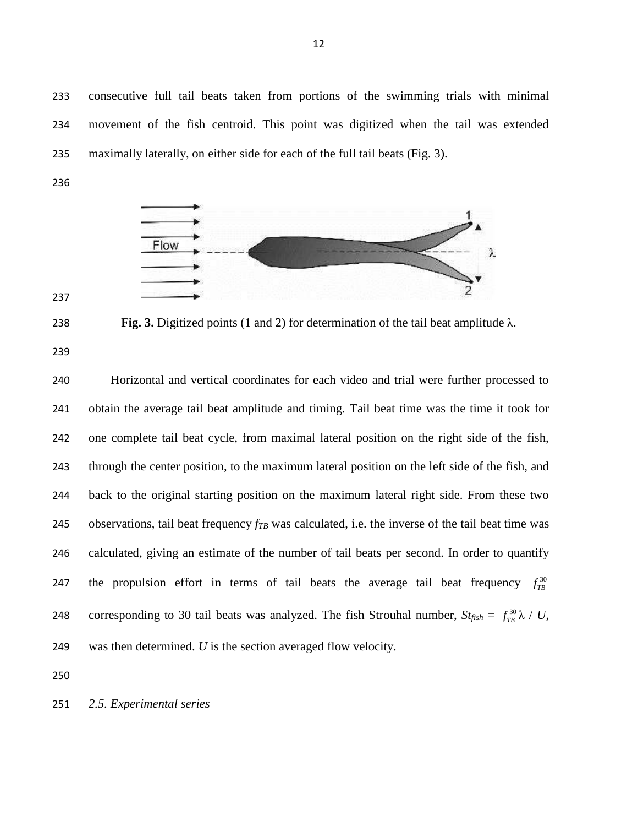consecutive full tail beats taken from portions of the swimming trials with minimal movement of the fish centroid. This point was digitized when the tail was extended maximally laterally, on either side for each of the full tail beats (Fig. 3).



**Fig. 3.** Digitized points (1 and 2) for determination of the tail beat amplitude λ.

 Horizontal and vertical coordinates for each video and trial were further processed to obtain the average tail beat amplitude and timing. Tail beat time was the time it took for one complete tail beat cycle, from maximal lateral position on the right side of the fish, through the center position, to the maximum lateral position on the left side of the fish, and back to the original starting position on the maximum lateral right side. From these two observations, tail beat frequency *fTB* was calculated, i.e. the inverse of the tail beat time was calculated, giving an estimate of the number of tail beats per second. In order to quantify the propulsion effort in terms of tail beats the average tail beat frequency  $f_{TB}^{30}$  corresponding to 30 tail beats was analyzed. The fish Strouhal number,  $St_{fish} = f_{TB}^{30} \lambda / U$ , was then determined. *U* is the section averaged flow velocity.

*2.5. Experimental series*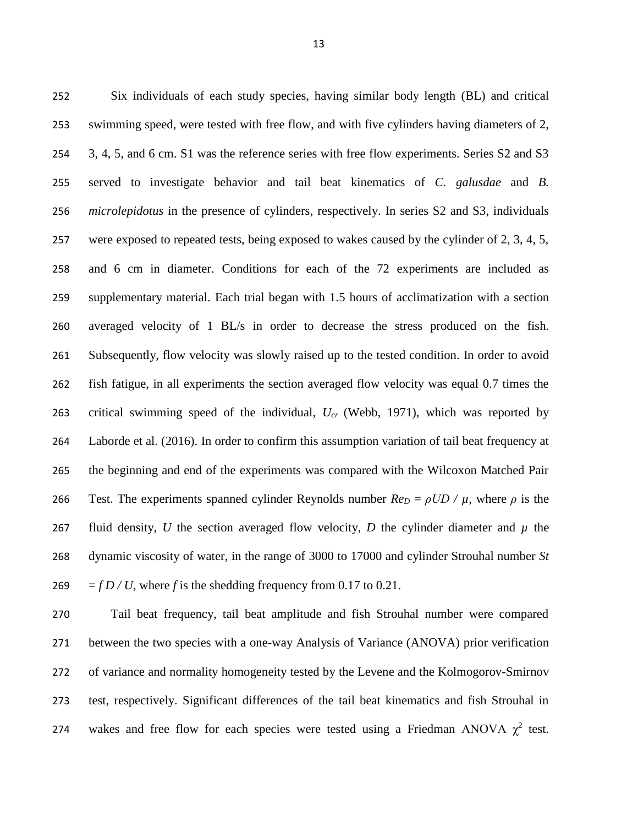Six individuals of each study species, having similar body length (BL) and critical swimming speed, were tested with free flow, and with five cylinders having diameters of 2, 3, 4, 5, and 6 cm. S1 was the reference series with free flow experiments. Series S2 and S3 served to investigate behavior and tail beat kinematics of *C. galusdae* and *B. microlepidotus* in the presence of cylinders, respectively. In series S2 and S3, individuals were exposed to repeated tests, being exposed to wakes caused by the cylinder of 2, 3, 4, 5, and 6 cm in diameter. Conditions for each of the 72 experiments are included as supplementary material. Each trial began with 1.5 hours of acclimatization with a section averaged velocity of 1 BL/s in order to decrease the stress produced on the fish. Subsequently, flow velocity was slowly raised up to the tested condition. In order to avoid fish fatigue, in all experiments the section averaged flow velocity was equal 0.7 times the critical swimming speed of the individual, *Ucr* (Webb, 1971), which was reported by Laborde et al. (2016). In order to confirm this assumption variation of tail beat frequency at the beginning and end of the experiments was compared with the Wilcoxon Matched Pair 266 Test. The experiments spanned cylinder Reynolds number  $Re_D = \rho UD / \mu$ , where  $\rho$  is the 267 fluid density, *U* the section averaged flow velocity, *D* the cylinder diameter and  $\mu$  the dynamic viscosity of water, in the range of 3000 to 17000 and cylinder Strouhal number *St*  $= f D / U$ , where f is the shedding frequency from 0.17 to 0.21.

 Tail beat frequency, tail beat amplitude and fish Strouhal number were compared between the two species with a one-way Analysis of Variance (ANOVA) prior verification of variance and normality homogeneity tested by the Levene and the Kolmogorov-Smirnov test, respectively. Significant differences of the tail beat kinematics and fish Strouhal in 274 wakes and free flow for each species were tested using a Friedman ANOVA  $\chi^2$  test.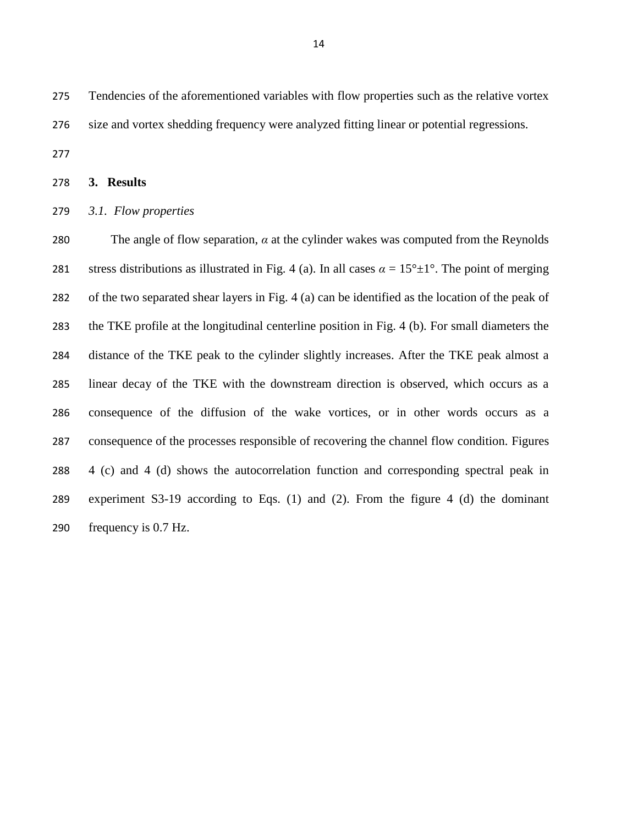Tendencies of the aforementioned variables with flow properties such as the relative vortex size and vortex shedding frequency were analyzed fitting linear or potential regressions.

**3. Results**

### *3.1. Flow properties*

280 The angle of flow separation,  $\alpha$  at the cylinder wakes was computed from the Reynolds 281 stress distributions as illustrated in Fig. 4 (a). In all cases  $\alpha = 15^{\circ} \pm 1^{\circ}$ . The point of merging of the two separated shear layers in Fig. 4 (a) can be identified as the location of the peak of the TKE profile at the longitudinal centerline position in Fig. 4 (b). For small diameters the distance of the TKE peak to the cylinder slightly increases. After the TKE peak almost a linear decay of the TKE with the downstream direction is observed, which occurs as a consequence of the diffusion of the wake vortices, or in other words occurs as a consequence of the processes responsible of recovering the channel flow condition. Figures 4 (c) and 4 (d) shows the autocorrelation function and corresponding spectral peak in experiment S3-19 according to Eqs. (1) and (2). From the figure 4 (d) the dominant frequency is 0.7 Hz.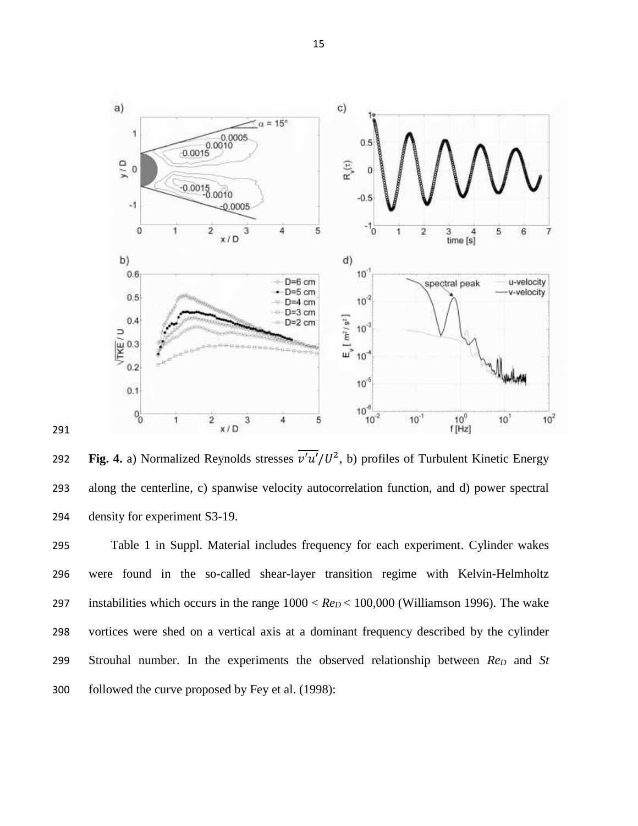

**292** Fig. 4. a) Normalized Reynolds stresses  $\overline{v'u'}/U^2$ , b) profiles of Turbulent Kinetic Energy along the centerline, c) spanwise velocity autocorrelation function, and d) power spectral density for experiment S3-19.

 Table 1 in Suppl. Material includes frequency for each experiment. Cylinder wakes were found in the so-called shear-layer transition regime with Kelvin-Helmholtz 297 instabilities which occurs in the range  $1000 < Re<sub>D</sub> < 100,000$  (Williamson 1996). The wake vortices were shed on a vertical axis at a dominant frequency described by the cylinder Strouhal number. In the experiments the observed relationship between *Re<sup>D</sup>* and *St* followed the curve proposed by Fey et al. (1998):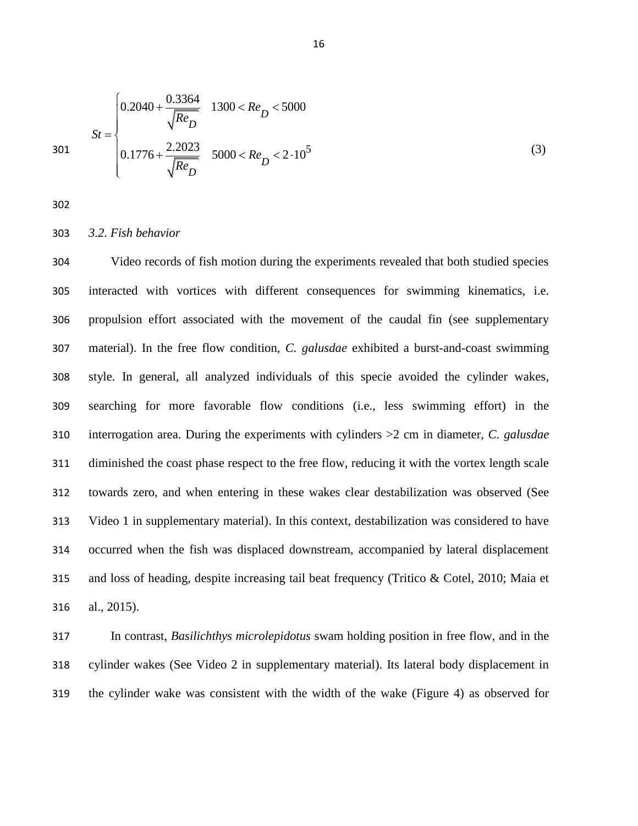$$
St = \begin{cases} 0.2040 + \frac{0.3364}{\sqrt{Re_D}} & 1300 < Re_D < 5000\\ 0.1776 + \frac{2.2023}{\sqrt{Re_D}} & 5000 < Re_D < 2 \cdot 10^5 \end{cases}
$$
(3)

302

#### 303 *3.2. Fish behavior*

 Video records of fish motion during the experiments revealed that both studied species interacted with vortices with different consequences for swimming kinematics, i.e. propulsion effort associated with the movement of the caudal fin (see supplementary material). In the free flow condition, *C. galusdae* exhibited a burst-and-coast swimming style. In general, all analyzed individuals of this specie avoided the cylinder wakes, searching for more favorable flow conditions (i.e., less swimming effort) in the interrogation area. During the experiments with cylinders >2 cm in diameter, *C. galusdae* diminished the coast phase respect to the free flow, reducing it with the vortex length scale towards zero, and when entering in these wakes clear destabilization was observed (See Video 1 in supplementary material). In this context, destabilization was considered to have occurred when the fish was displaced downstream, accompanied by lateral displacement and loss of heading, despite increasing tail beat frequency (Tritico & Cotel, 2010; Maia et al., 2015).

317 In contrast, *Basilichthys microlepidotus* swam holding position in free flow, and in the 318 cylinder wakes (See Video 2 in supplementary material). Its lateral body displacement in 319 the cylinder wake was consistent with the width of the wake (Figure 4) as observed for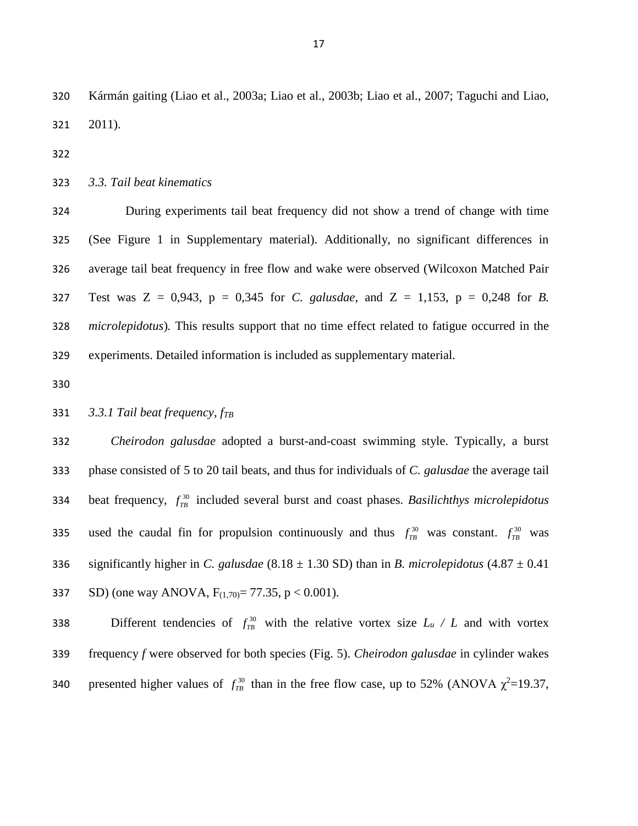Kármán gaiting (Liao et al., 2003a; Liao et al., 2003b; Liao et al., 2007; Taguchi and Liao, 2011).

*3.3. Tail beat kinematics*

 During experiments tail beat frequency did not show a trend of change with time (See Figure 1 in Supplementary material). Additionally, no significant differences in average tail beat frequency in free flow and wake were observed (Wilcoxon Matched Pair Test was Z = 0,943, p = 0,345 for *C. galusdae*, and Z = 1,153, p = 0,248 for *B. microlepidotus*)*.* This results support that no time effect related to fatigue occurred in the experiments. Detailed information is included as supplementary material.

# *3.3.1 Tail beat frequency, fTB*

 *Cheirodon galusdae* adopted a burst-and-coast swimming style. Typically, a burst phase consisted of 5 to 20 tail beats, and thus for individuals of *C. galusdae* the average tail beat frequency,  $f_{TB}^{30}$  included several burst and coast phases. *Basilichthys microlepidotus*  used the caudal fin for propulsion continuously and thus  $f_{TB}^{30}$  was constant.  $f_{TB}^{30}$  was 336 significantly higher in *C. galusdae* (8.18  $\pm$  1.30 SD) than in *B. microlepidotus* (4.87  $\pm$  0.41 337 SD) (one way ANOVA,  $F_{(1,70)} = 77.35$ , p < 0.001).

Different tendencies of  $f_{TB}^{30}$  with the relative vortex size  $L_u / L$  and with vortex frequency *f* were observed for both species (Fig. 5). *Cheirodon galusdae* in cylinder wakes 340 presented higher values of  $f_{TB}^{30}$  than in the free flow case, up to 52% (ANOVA  $\chi^2$ =19.37,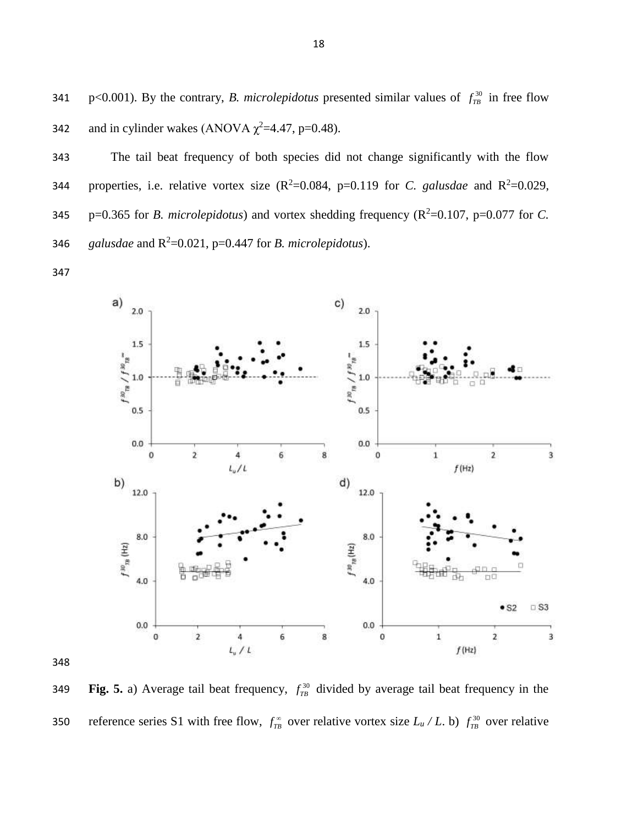p<0.001). By the contrary, *B. microlepidotus* presented similar values of  $f_{\text{TB}}^{30}$  in free flow 341 342 and in cylinder wakes (ANOVA  $\chi^2$ =4.47, p=0.48).

343 The tail beat frequency of both species did not change significantly with the flow 344 properties, i.e. relative vortex size  $(R^2=0.084, p=0.119$  for *C. galusdae* and  $R^2=0.029$ , 345  $p=0.365$  for *B. microlepidotus*) and vortex shedding frequency ( $R^2=0.107$ ,  $p=0.077$  for *C*. 346 galusdae and  $R^2$ =0.021, p=0.447 for *B. microlepidotus*).

347



**Fig.** 5. a) Average tail beat frequency,  $f_{TB}^{30}$  divided by average tail beat frequency in the 349 reference series S1 with free flow,  $f_{T\!B}^{\infty}$  over relative vortex size  $L_u/L$ . b)  $f_{T\!B}^{30}$  over relative 350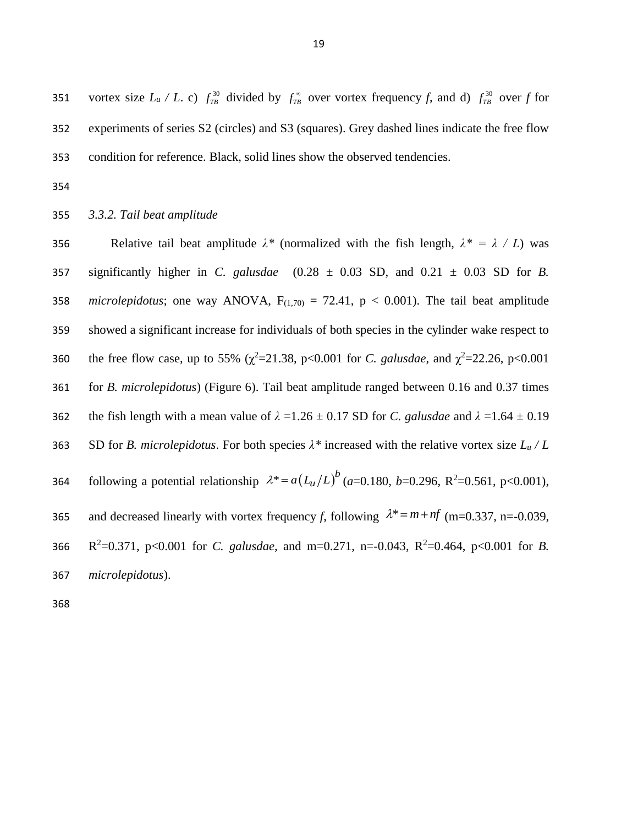vortex size  $L_u / L$ . c)  $f_{TB}^{30}$  divided by  $f_{TB}^{\infty}$  over vortex frequency *f*, and d)  $f_{TB}^{30}$  over *f* for 351 352 experiments of series S2 (circles) and S3 (squares). Grey dashed lines indicate the free flow 353 condition for reference. Black, solid lines show the observed tendencies.

354

# 355 *3.3.2. Tail beat amplitude*

356 Relative tail beat amplitude  $\lambda^*$  (normalized with the fish length,  $\lambda^* = \lambda / L$ ) was 357 significantly higher in *C. galusdae* (0.28 ± 0.03 SD, and 0.21 ± 0.03 SD for *B.*  358 *microlepidotus*; one way ANOVA,  $F_{(1,70)} = 72.41$ ,  $p < 0.001$ ). The tail beat amplitude 359 showed a significant increase for individuals of both species in the cylinder wake respect to 360 the free flow case, up to 55% ( $\chi^2$ =21.38, p<0.001 for *C. galusdae*, and  $\chi^2$ =22.26, p<0.001 361 for *B. microlepidotus*) (Figure 6). Tail beat amplitude ranged between 0.16 and 0.37 times 362 the fish length with a mean value of  $\lambda = 1.26 \pm 0.17$  SD for *C. galusdae* and  $\lambda = 1.64 \pm 0.19$ 363 SD for *B. microlepidotus*. For both species *λ\** increased with the relative vortex size *L<sup>u</sup> / L* 364 following a potential relationship  $\lambda^* = a(L_u/L)^b$  (*a*=0.180, *b*=0.296, R<sup>2</sup>=0.561, p<0.001), 365 and decreased linearly with vortex frequency f, following  $\lambda^* = m + nf$  (m=0.337, n=-0.039, 366  $R^2=0.371$ , p<0.001 for *C. galusdae*, and m=0.271, n=-0.043, R<sup>2</sup>=0.464, p<0.001 for *B*. 367 *microlepidotus*).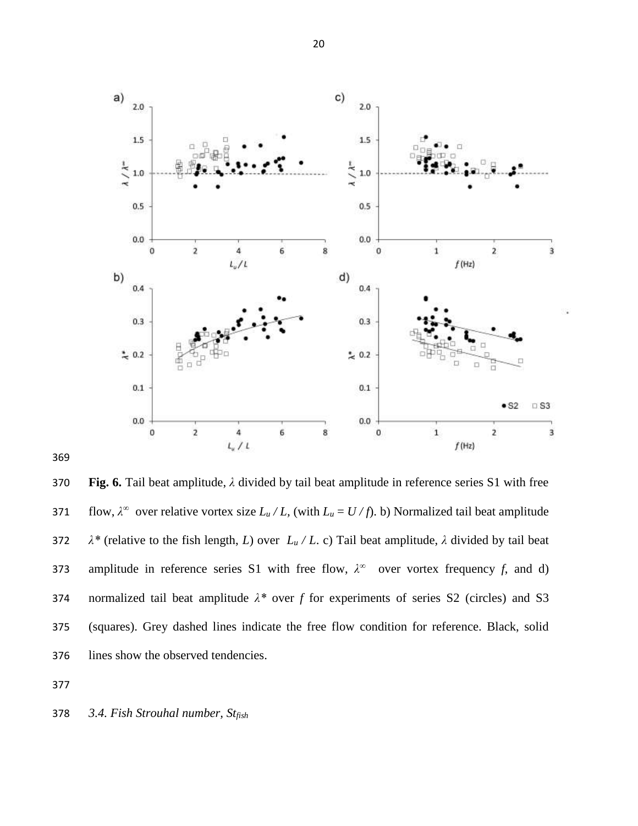

 **Fig. 6.** Tail beat amplitude, *λ* divided by tail beat amplitude in reference series S1 with free **371** flow,  $λ^∞$  over relative vortex size  $L<sub>u</sub> / L$ , (with  $L<sub>u</sub> = U / f$ ). b) Normalized tail beat amplitude 372  $\lambda^*$  (relative to the fish length, *L*) over  $L_u/L$ . c) Tail beat amplitude,  $\lambda$  divided by tail beat amplitude in reference series S1 with free flow,  $\lambda^{\infty}$  over vortex frequency *f*, and d) normalized tail beat amplitude *λ\** over *f* for experiments of series S2 (circles) and S3 (squares). Grey dashed lines indicate the free flow condition for reference. Black, solid lines show the observed tendencies.

*3.4. Fish Strouhal number, Stfish*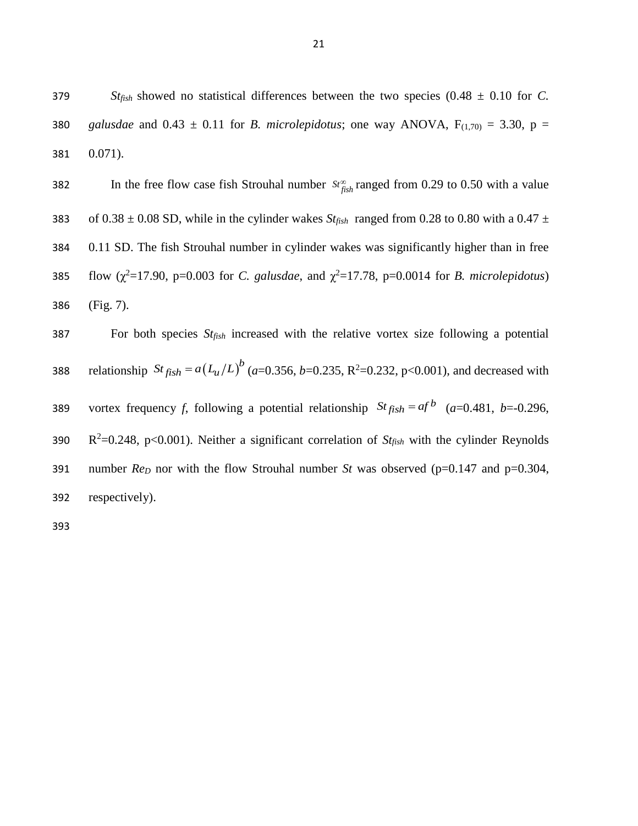379 *Stfish* showed no statistical differences between the two species (0.48 ± 0.10 for *C.*  380 *galusdae* and  $0.43 \pm 0.11$  for *B. microlepidotus*; one way ANOVA,  $F_{(1,70)} = 3.30$ ,  $p =$ 381 0.071).

382 In the free flow case fish Strouhal number  $St_{fish}^{\infty}$  ranged from 0.29 to 0.50 with a value 383 of  $0.38 \pm 0.08$  SD, while in the cylinder wakes *St<sub>fish</sub>* ranged from 0.28 to 0.80 with a 0.47  $\pm$ 384 0.11 SD. The fish Strouhal number in cylinder wakes was significantly higher than in free 385 flow  $(\chi^2 = 17.90, p = 0.003$  for *C. galusdae*, and  $\chi^2 = 17.78$ , p=0.0014 for *B. microlepidotus*) 386 (Fig. 7).

387 For both species *Stfish* increased with the relative vortex size following a potential 388 relationship  $St_{fish} = a(L_u/L)^b$  (*a*=0.356, *b*=0.235, R<sup>2</sup>=0.232, p<0.001), and decreased with vortex frequency *f*, following a potential relationship  $St_{fish} = af^b$  (*a*=0.481, *b*=-0.296, 389 390  $R^2=0.248$ , p<0.001). Neither a significant correlation of  $St_{fish}$  with the cylinder Reynolds 391 number *Re<sub>D</sub>* nor with the flow Strouhal number *St* was observed (p=0.147 and p=0.304, 392 respectively).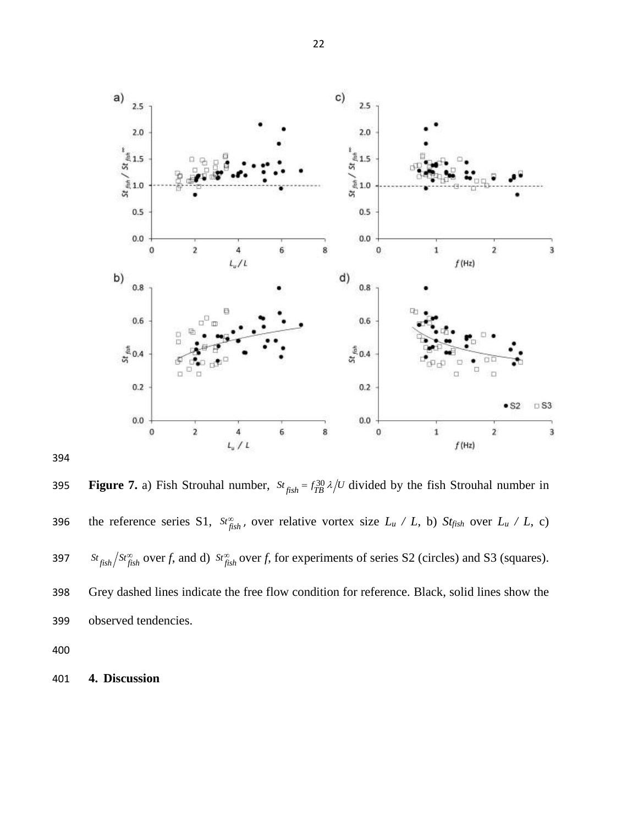



**Figure 7.** a) Fish Strouhal number,  $St_{fish} = f_{TB}^{30} \lambda/U$  divided by the fish Strouhal number in 396 the reference series S1,  $S_t^{\infty}$  over relative vortex size  $L_u / L$ , b)  $S_t f_{jish}$  over  $L_u / L$ , c) 397  $s_t$   $s_t$   $s_t$   $\frac{S_t}{f_{ish}}$  over *f*, and d)  $s_t$   $\frac{S_t}{f_{ish}}$  over *f*, for experiments of series S2 (circles) and S3 (squares). Grey dashed lines indicate the free flow condition for reference. Black, solid lines show the observed tendencies.

**4. Discussion**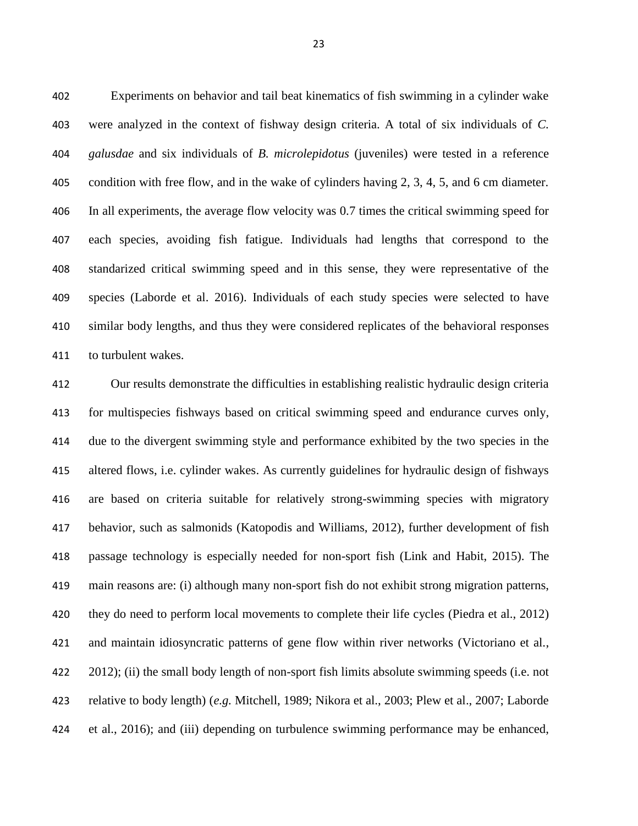Experiments on behavior and tail beat kinematics of fish swimming in a cylinder wake were analyzed in the context of fishway design criteria. A total of six individuals of *C. galusdae* and six individuals of *B. microlepidotus* (juveniles) were tested in a reference condition with free flow, and in the wake of cylinders having 2, 3, 4, 5, and 6 cm diameter. In all experiments, the average flow velocity was 0.7 times the critical swimming speed for each species, avoiding fish fatigue. Individuals had lengths that correspond to the standarized critical swimming speed and in this sense, they were representative of the species (Laborde et al. 2016). Individuals of each study species were selected to have similar body lengths, and thus they were considered replicates of the behavioral responses to turbulent wakes.

 Our results demonstrate the difficulties in establishing realistic hydraulic design criteria for multispecies fishways based on critical swimming speed and endurance curves only, due to the divergent swimming style and performance exhibited by the two species in the altered flows, i.e. cylinder wakes. As currently guidelines for hydraulic design of fishways are based on criteria suitable for relatively strong-swimming species with migratory behavior, such as salmonids (Katopodis and Williams, 2012), further development of fish passage technology is especially needed for non-sport fish (Link and Habit, 2015). The main reasons are: (i) although many non-sport fish do not exhibit strong migration patterns, 420 they do need to perform local movements to complete their life cycles (Piedra et al., 2012) and maintain idiosyncratic patterns of gene flow within river networks (Victoriano et al., 2012); (ii) the small body length of non-sport fish limits absolute swimming speeds (i.e. not relative to body length) (*e.g.* Mitchell, 1989; Nikora et al., 2003; Plew et al., 2007; Laborde et al., 2016); and (iii) depending on turbulence swimming performance may be enhanced,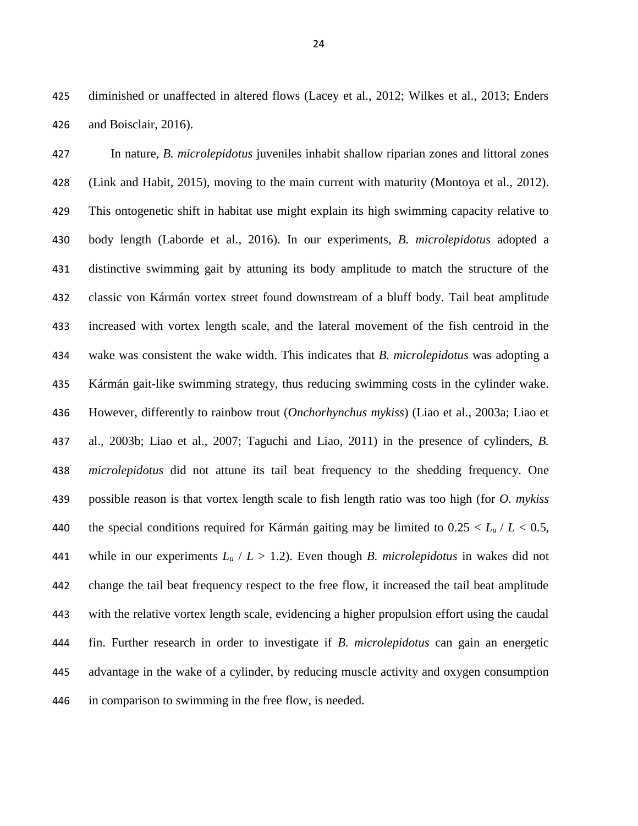diminished or unaffected in altered flows (Lacey et al., 2012; Wilkes et al., 2013; Enders and Boisclair, 2016).

 In nature, *B. microlepidotus* juveniles inhabit shallow riparian zones and littoral zones (Link and Habit, 2015), moving to the main current with maturity (Montoya et al., 2012). This ontogenetic shift in habitat use might explain its high swimming capacity relative to body length (Laborde et al., 2016). In our experiments, *B. microlepidotus* adopted a distinctive swimming gait by attuning its body amplitude to match the structure of the classic von Kármán vortex street found downstream of a bluff body. Tail beat amplitude increased with vortex length scale, and the lateral movement of the fish centroid in the wake was consistent the wake width. This indicates that *B. microlepidotus* was adopting a Kármán gait-like swimming strategy, thus reducing swimming costs in the cylinder wake. However, differently to rainbow trout (*Onchorhynchus mykiss*) (Liao et al., 2003a; Liao et al., 2003b; Liao et al., 2007; Taguchi and Liao, 2011) in the presence of cylinders, *B. microlepidotus* did not attune its tail beat frequency to the shedding frequency. One possible reason is that vortex length scale to fish length ratio was too high (for *O. mykiss* 440 the special conditions required for Kármán gaiting may be limited to  $0.25 < L_u/L < 0.5$ , 441 while in our experiments  $L_u / L > 1.2$ ). Even though *B. microlepidotus* in wakes did not change the tail beat frequency respect to the free flow, it increased the tail beat amplitude with the relative vortex length scale, evidencing a higher propulsion effort using the caudal fin. Further research in order to investigate if *B. microlepidotus* can gain an energetic advantage in the wake of a cylinder, by reducing muscle activity and oxygen consumption in comparison to swimming in the free flow, is needed.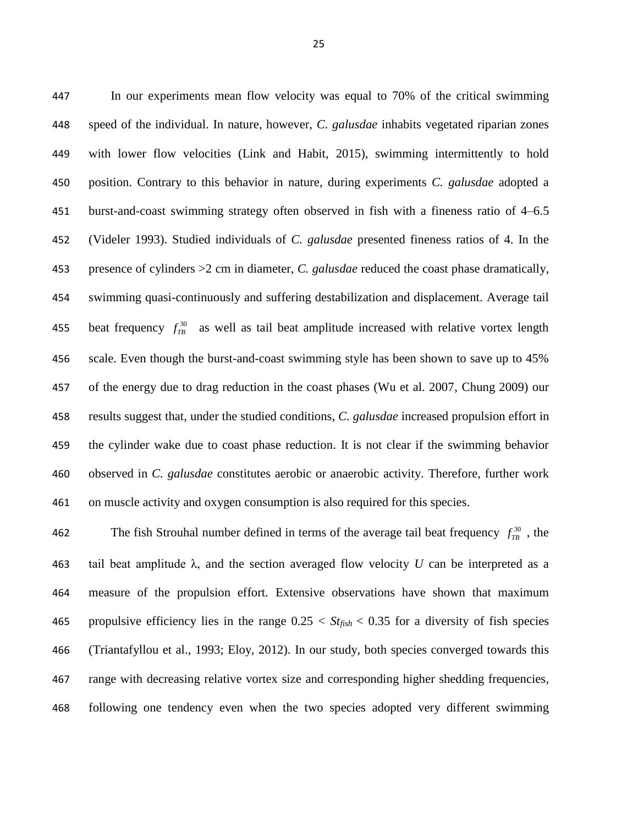In our experiments mean flow velocity was equal to 70% of the critical swimming speed of the individual. In nature, however, *C. galusdae* inhabits vegetated riparian zones with lower flow velocities (Link and Habit, 2015), swimming intermittently to hold position. Contrary to this behavior in nature, during experiments *C. galusdae* adopted a burst-and-coast swimming strategy often observed in fish with a fineness ratio of 4–6.5 (Videler 1993). Studied individuals of *C. galusdae* presented fineness ratios of 4. In the presence of cylinders >2 cm in diameter, *C. galusdae* reduced the coast phase dramatically, swimming quasi-continuously and suffering destabilization and displacement. Average tail beat frequency  $f_{T\}^{30}$  as well as tail beat amplitude increased with relative vortex length scale. Even though the burst-and-coast swimming style has been shown to save up to 45% of the energy due to drag reduction in the coast phases (Wu et al. 2007, Chung 2009) our results suggest that, under the studied conditions, *C. galusdae* increased propulsion effort in the cylinder wake due to coast phase reduction. It is not clear if the swimming behavior observed in *C. galusdae* constitutes aerobic or anaerobic activity. Therefore, further work on muscle activity and oxygen consumption is also required for this species.

The fish Strouhal number defined in terms of the average tail beat frequency  $f_{TB}^{30}$ , the 463 tail beat amplitude  $\lambda$ , and the section averaged flow velocity *U* can be interpreted as a measure of the propulsion effort. Extensive observations have shown that maximum 465 propulsive efficiency lies in the range  $0.25 < S t_{fish} < 0.35$  for a diversity of fish species (Triantafyllou et al., 1993; Eloy, 2012). In our study, both species converged towards this range with decreasing relative vortex size and corresponding higher shedding frequencies, following one tendency even when the two species adopted very different swimming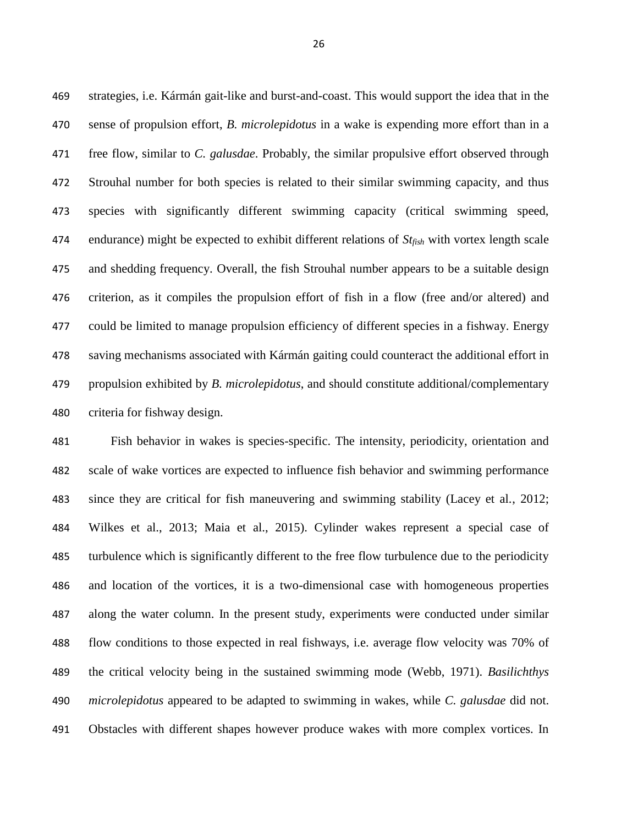strategies, i.e. Kármán gait-like and burst-and-coast. This would support the idea that in the sense of propulsion effort, *B. microlepidotus* in a wake is expending more effort than in a free flow, similar to *C. galusdae*. Probably, the similar propulsive effort observed through Strouhal number for both species is related to their similar swimming capacity, and thus species with significantly different swimming capacity (critical swimming speed, endurance) might be expected to exhibit different relations of *Stfish* with vortex length scale and shedding frequency. Overall, the fish Strouhal number appears to be a suitable design criterion, as it compiles the propulsion effort of fish in a flow (free and/or altered) and could be limited to manage propulsion efficiency of different species in a fishway. Energy saving mechanisms associated with Kármán gaiting could counteract the additional effort in propulsion exhibited by *B. microlepidotus*, and should constitute additional/complementary criteria for fishway design.

 Fish behavior in wakes is species-specific. The intensity, periodicity, orientation and scale of wake vortices are expected to influence fish behavior and swimming performance since they are critical for fish maneuvering and swimming stability (Lacey et al., 2012; Wilkes et al., 2013; Maia et al., 2015). Cylinder wakes represent a special case of turbulence which is significantly different to the free flow turbulence due to the periodicity and location of the vortices, it is a two-dimensional case with homogeneous properties along the water column. In the present study, experiments were conducted under similar flow conditions to those expected in real fishways, i.e. average flow velocity was 70% of the critical velocity being in the sustained swimming mode (Webb, 1971). *Basilichthys microlepidotus* appeared to be adapted to swimming in wakes, while *C. galusdae* did not. Obstacles with different shapes however produce wakes with more complex vortices. In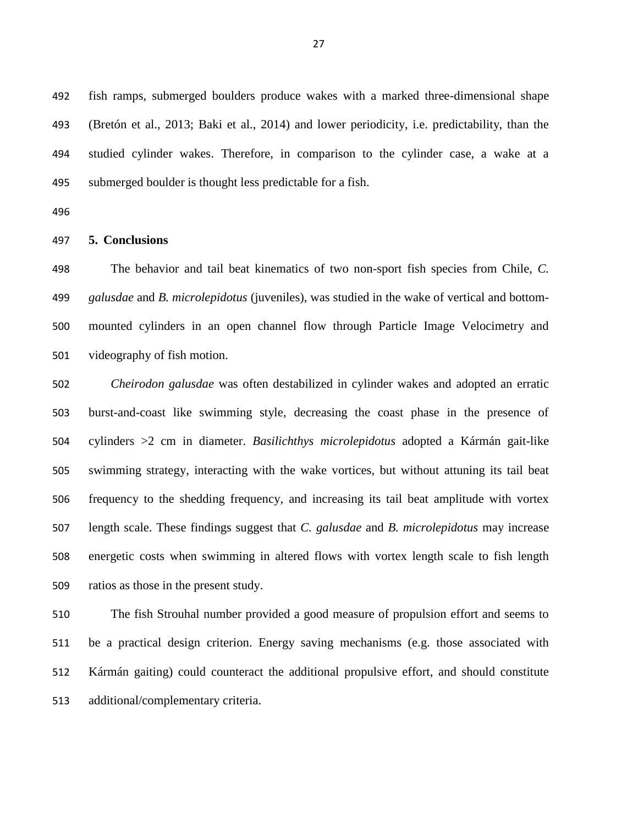fish ramps, submerged boulders produce wakes with a marked three-dimensional shape (Bretón et al., 2013; Baki et al., 2014) and lower periodicity, i.e. predictability, than the studied cylinder wakes. Therefore, in comparison to the cylinder case, a wake at a submerged boulder is thought less predictable for a fish.

#### **5. Conclusions**

 The behavior and tail beat kinematics of two non-sport fish species from Chile, *C. galusdae* and *B. microlepidotus* (juveniles), was studied in the wake of vertical and bottom- mounted cylinders in an open channel flow through Particle Image Velocimetry and videography of fish motion.

 *Cheirodon galusdae* was often destabilized in cylinder wakes and adopted an erratic burst-and-coast like swimming style, decreasing the coast phase in the presence of cylinders >2 cm in diameter. *Basilichthys microlepidotus* adopted a Kármán gait-like swimming strategy, interacting with the wake vortices, but without attuning its tail beat frequency to the shedding frequency, and increasing its tail beat amplitude with vortex length scale. These findings suggest that *C. galusdae* and *B. microlepidotus* may increase energetic costs when swimming in altered flows with vortex length scale to fish length ratios as those in the present study.

 The fish Strouhal number provided a good measure of propulsion effort and seems to be a practical design criterion. Energy saving mechanisms (e.g. those associated with Kármán gaiting) could counteract the additional propulsive effort, and should constitute additional/complementary criteria.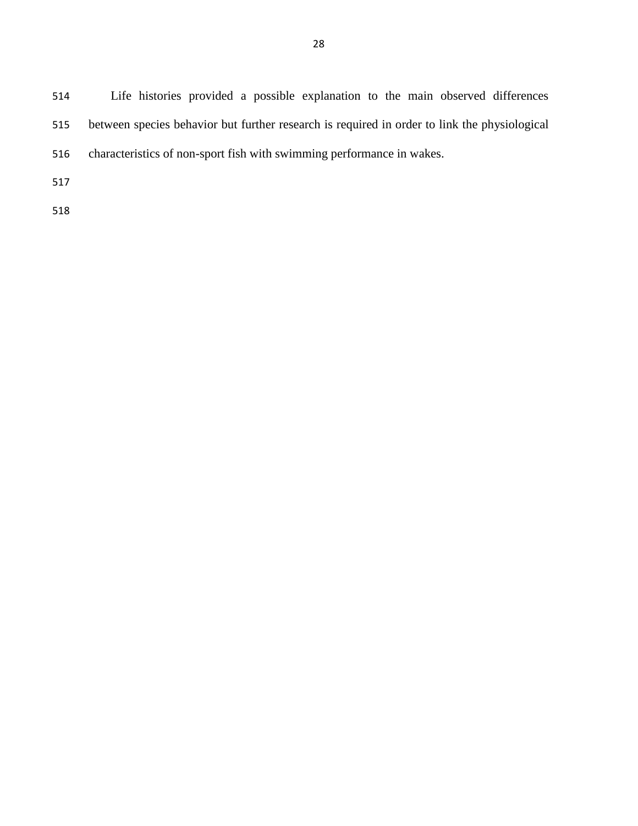Life histories provided a possible explanation to the main observed differences between species behavior but further research is required in order to link the physiological characteristics of non-sport fish with swimming performance in wakes.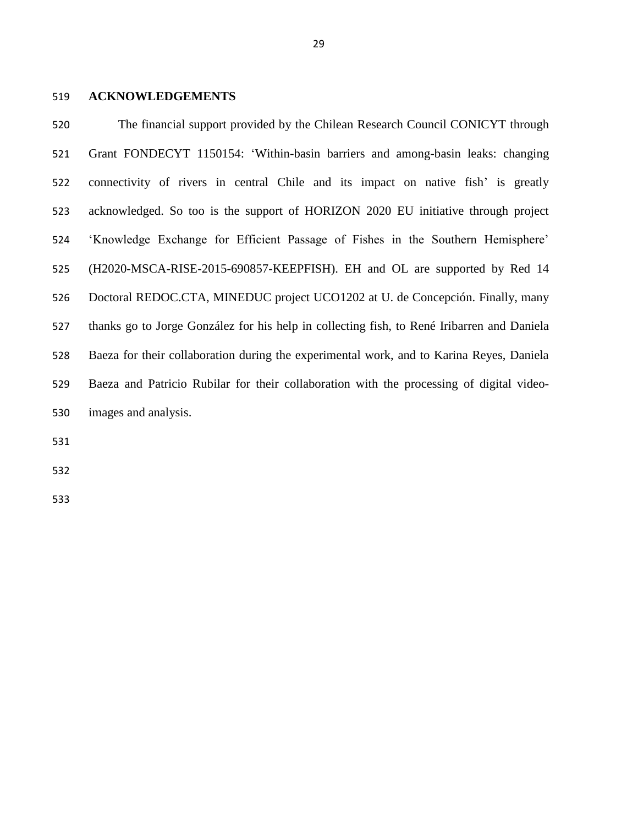# **ACKNOWLEDGEMENTS**

 The financial support provided by the Chilean Research Council CONICYT through Grant FONDECYT 1150154: 'Within-basin barriers and among-basin leaks: changing connectivity of rivers in central Chile and its impact on native fish' is greatly acknowledged. So too is the support of HORIZON 2020 EU initiative through project 'Knowledge Exchange for Efficient Passage of Fishes in the Southern Hemisphere' (H2020-MSCA-RISE-2015-690857-KEEPFISH). EH and OL are supported by Red 14 Doctoral REDOC.CTA, MINEDUC project UCO1202 at U. de Concepción. Finally, many thanks go to Jorge González for his help in collecting fish, to René Iribarren and Daniela Baeza for their collaboration during the experimental work, and to Karina Reyes, Daniela Baeza and Patricio Rubilar for their collaboration with the processing of digital video-images and analysis.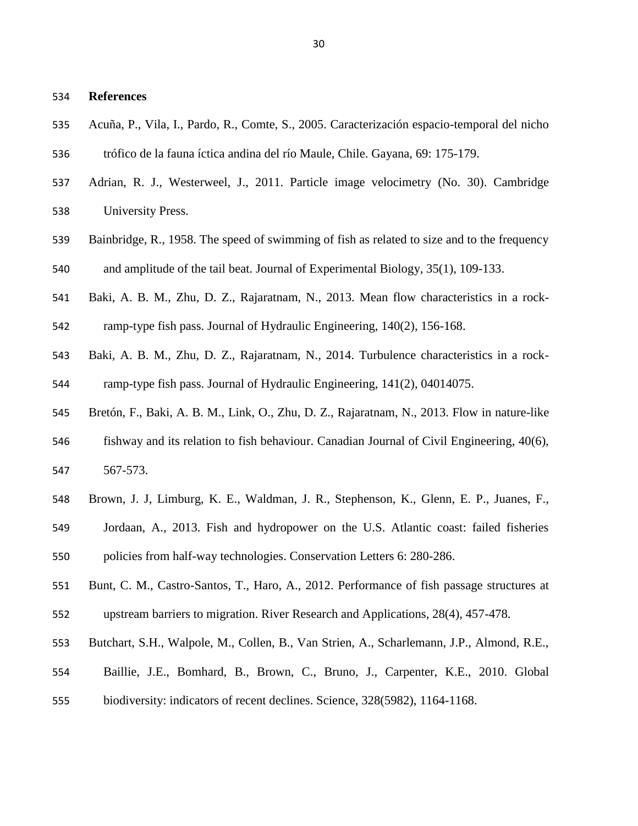# **References**

- Acuña, P., Vila, I., Pardo, R., Comte, S., 2005. Caracterización espacio-temporal del nicho
- trófico de la fauna íctica andina del río Maule, Chile. Gayana, 69: 175-179.
- Adrian, R. J., Westerweel, J., 2011. Particle image velocimetry (No. 30). Cambridge University Press.
- Bainbridge, R., 1958. The speed of swimming of fish as related to size and to the frequency
- and amplitude of the tail beat. Journal of Experimental Biology, 35(1), 109-133.
- Baki, A. B. M., Zhu, D. Z., Rajaratnam, N., 2013. Mean flow characteristics in a rock-
- ramp-type fish pass. Journal of Hydraulic Engineering, 140(2), 156-168.
- Baki, A. B. M., Zhu, D. Z., Rajaratnam, N., 2014. Turbulence characteristics in a rock-ramp-type fish pass. Journal of Hydraulic Engineering, 141(2), 04014075.
- 
- Bretón, F., Baki, A. B. M., Link, O., Zhu, D. Z., Rajaratnam, N., 2013. Flow in nature-like
- fishway and its relation to fish behaviour. Canadian Journal of Civil Engineering, 40(6), 567-573.
- Brown, J. J, Limburg, K. E., Waldman, J. R., Stephenson, K., Glenn, E. P., Juanes, F.,
- Jordaan, A., 2013. Fish and hydropower on the U.S. Atlantic coast: failed fisheries policies from half-way technologies. Conservation Letters 6: 280-286.
- Bunt, C. M., Castro-Santos, T., Haro, A., 2012. Performance of fish passage structures at
- upstream barriers to migration. River Research and Applications, 28(4), 457-478.
- Butchart, S.H., Walpole, M., Collen, B., Van Strien, A., Scharlemann, J.P., Almond, R.E.,
- Baillie, J.E., Bomhard, B., Brown, C., Bruno, J., Carpenter, K.E., 2010. Global
- biodiversity: indicators of recent declines. Science, 328(5982), 1164-1168.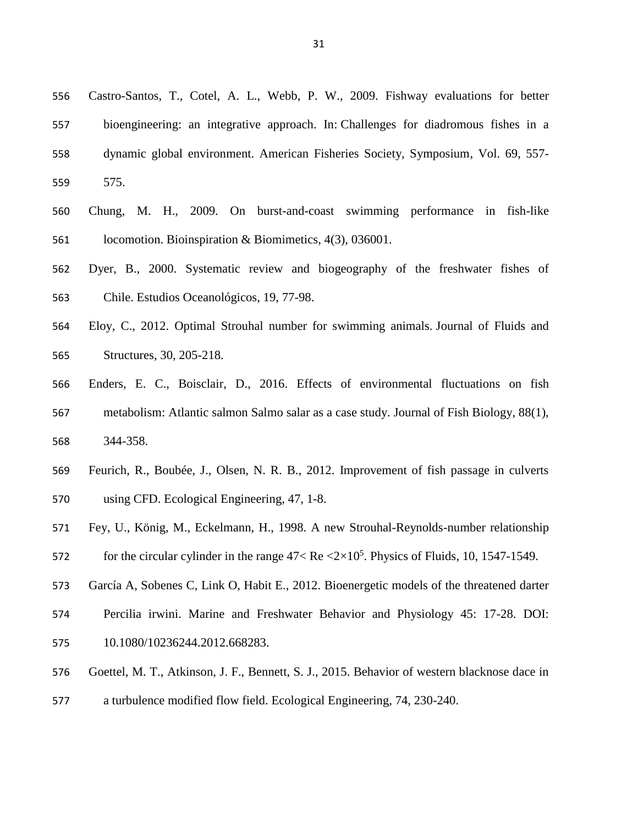- Castro-Santos, T., Cotel, A. L., Webb, P. W., 2009. Fishway evaluations for better bioengineering: an integrative approach. In: Challenges for diadromous fishes in a dynamic global environment. American Fisheries Society, Symposium, Vol. 69, 557- 575.
- Chung, M. H., 2009. On burst-and-coast swimming performance in fish-like locomotion. Bioinspiration & Biomimetics, 4(3), 036001.
- Dyer, B., 2000. Systematic review and biogeography of the freshwater fishes of Chile. Estudios Oceanológicos, 19, 77-98.
- Eloy, C., 2012. Optimal Strouhal number for swimming animals. Journal of Fluids and Structures, 30, 205-218.
- Enders, E. C., Boisclair, D., 2016. Effects of environmental fluctuations on fish metabolism: Atlantic salmon Salmo salar as a case study. Journal of Fish Biology, 88(1), 344-358.
- Feurich, R., Boubée, J., Olsen, N. R. B., 2012. Improvement of fish passage in culverts using CFD. Ecological Engineering, 47, 1-8.
- Fey, U., König, M., Eckelmann, H., 1998. A new Strouhal-Reynolds-number relationship
- 572 for the circular cylinder in the range  $47 <$  Re  $\langle 2 \times 10^5$ . Physics of Fluids, 10, 1547-1549.
- García A, Sobenes C, Link O, Habit E., 2012. Bioenergetic models of the threatened darter
- Percilia irwini. Marine and Freshwater Behavior and Physiology 45: 17-28. DOI:
- 10.1080/10236244.2012.668283.
- Goettel, M. T., Atkinson, J. F., Bennett, S. J., 2015. Behavior of western blacknose dace in a turbulence modified flow field. Ecological Engineering, 74, 230-240.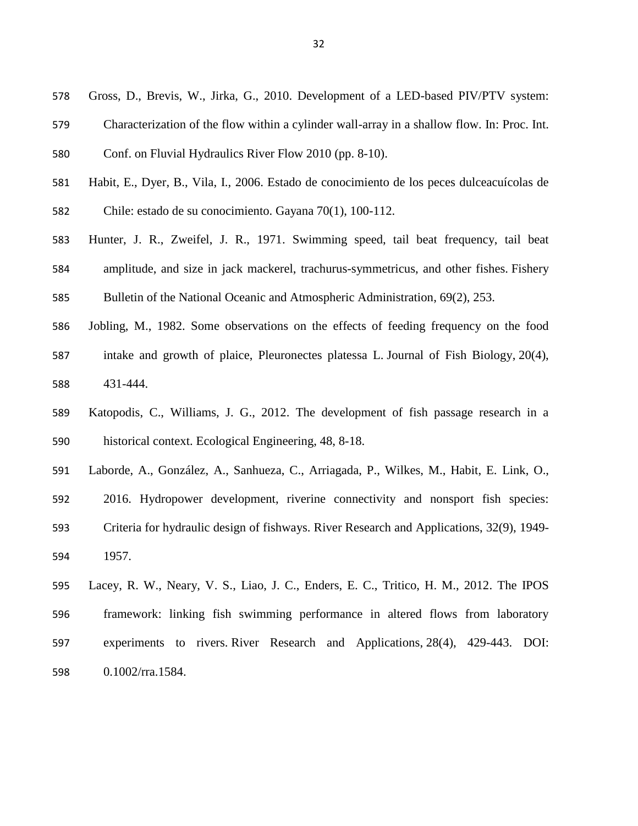- Gross, D., Brevis, W., Jirka, G., 2010. Development of a LED-based PIV/PTV system:
- Characterization of the flow within a cylinder wall-array in a shallow flow. In: Proc. Int.
- Conf. on Fluvial Hydraulics River Flow 2010 (pp. 8-10).
- Habit, E., Dyer, B., Vila, I., 2006. Estado de conocimiento de los peces dulceacuícolas de
- Chile: estado de su conocimiento. Gayana 70(1), 100-112.
- Hunter, J. R., Zweifel, J. R., 1971. Swimming speed, tail beat frequency, tail beat amplitude, and size in jack mackerel, trachurus-symmetricus, and other fishes. Fishery Bulletin of the National Oceanic and Atmospheric Administration, 69(2), 253.
- Jobling, M., 1982. Some observations on the effects of feeding frequency on the food intake and growth of plaice, Pleuronectes platessa L. Journal of Fish Biology, 20(4), 431-444.
- Katopodis, C., Williams, J. G., 2012. The development of fish passage research in a historical context. Ecological Engineering, 48, 8-18.
- Laborde, A., González, A., Sanhueza, C., Arriagada, P., Wilkes, M., Habit, E. Link, O.,
- 2016. Hydropower development, riverine connectivity and nonsport fish species: Criteria for hydraulic design of fishways. River Research and Applications, 32(9), 1949- 1957.
- Lacey, R. W., Neary, V. S., Liao, J. C., Enders, E. C., Tritico, H. M., 2012. The IPOS framework: linking fish swimming performance in altered flows from laboratory experiments to rivers. River Research and Applications, 28(4), 429-443. DOI: 0.1002/rra.1584.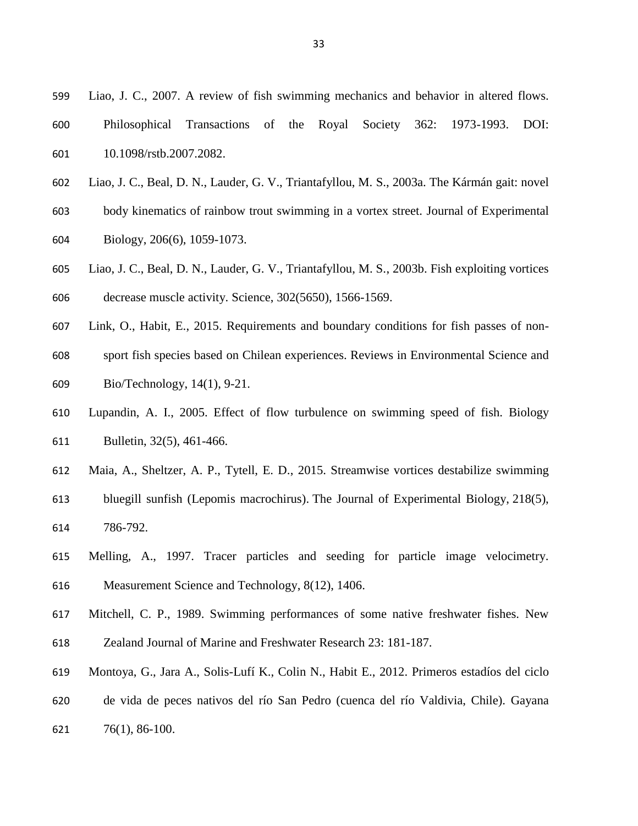- Liao, J. C., 2007. A review of fish swimming mechanics and behavior in altered flows.
- Philosophical Transactions of the Royal Society 362: 1973-1993. DOI: 10.1098/rstb.2007.2082.
- Liao, J. C., Beal, D. N., Lauder, G. V., Triantafyllou, M. S., 2003a. The Kármán gait: novel
- body kinematics of rainbow trout swimming in a vortex street. Journal of Experimental
- Biology, 206(6), 1059-1073.
- Liao, J. C., Beal, D. N., Lauder, G. V., Triantafyllou, M. S., 2003b. Fish exploiting vortices decrease muscle activity. Science, 302(5650), 1566-1569.
- Link, O., Habit, E., 2015. Requirements and boundary conditions for fish passes of non-
- sport fish species based on Chilean experiences. Reviews in Environmental Science and Bio/Technology, 14(1), 9-21.
- Lupandin, A. I., 2005. Effect of flow turbulence on swimming speed of fish. Biology Bulletin, 32(5), 461-466.
- Maia, A., Sheltzer, A. P., Tytell, E. D., 2015. Streamwise vortices destabilize swimming
- bluegill sunfish (Lepomis macrochirus). The Journal of Experimental Biology, 218(5), 786-792.
- Melling, A., 1997. Tracer particles and seeding for particle image velocimetry. Measurement Science and Technology, 8(12), 1406.
- Mitchell, C. P., 1989. Swimming performances of some native freshwater fishes. New
- Zealand Journal of Marine and Freshwater Research 23: 181-187.
- Montoya, G., Jara A., Solis-Lufí K., Colin N., Habit E., 2012. Primeros estadíos del ciclo de vida de peces nativos del río San Pedro (cuenca del río Valdivia, Chile). Gayana 76(1), 86-100.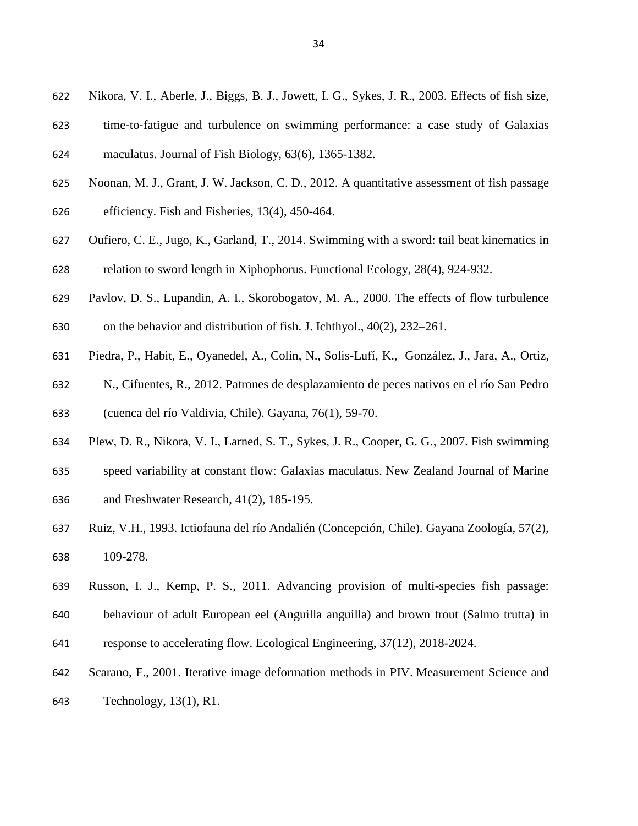- Nikora, V. I., Aberle, J., Biggs, B. J., Jowett, I. G., Sykes, J. R., 2003. Effects of fish size,
- time‐to‐fatigue and turbulence on swimming performance: a case study of Galaxias
- maculatus. Journal of Fish Biology, 63(6), 1365-1382.
- Noonan, M. J., Grant, J. W. Jackson, C. D., 2012. A quantitative assessment of fish passage
- efficiency. Fish and Fisheries, 13(4), 450-464.
- Oufiero, C. E., Jugo, K., Garland, T., 2014. Swimming with a sword: tail beat kinematics in relation to sword length in Xiphophorus. Functional Ecology, 28(4), 924-932.
- Pavlov, D. S., Lupandin, A. I., Skorobogatov, M. A., 2000. The effects of flow turbulence
- on the behavior and distribution of fish. J. Ichthyol., 40(2), 232–261.
- Piedra, P., Habit, E., Oyanedel, A., Colin, N., Solis-Lufí, K., González, J., Jara, A., Ortiz,
- N., Cifuentes, R., 2012. Patrones de desplazamiento de peces nativos en el río San Pedro
- (cuenca del río Valdivia, Chile). Gayana, 76(1), 59-70.
- Plew, D. R., Nikora, V. I., Larned, S. T., Sykes, J. R., Cooper, G. G., 2007. Fish swimming
- speed variability at constant flow: Galaxias maculatus. New Zealand Journal of Marine
- and Freshwater Research, 41(2), 185-195.
- Ruiz, V.H., 1993. Ictiofauna del río Andalién (Concepción, Chile). Gayana Zoología, 57(2), 109-278.
- Russon, I. J., Kemp, P. S., 2011. Advancing provision of multi-species fish passage:
- behaviour of adult European eel (Anguilla anguilla) and brown trout (Salmo trutta) in
- response to accelerating flow. Ecological Engineering, 37(12), 2018-2024.
- Scarano, F., 2001. Iterative image deformation methods in PIV. Measurement Science and Technology, 13(1), R1.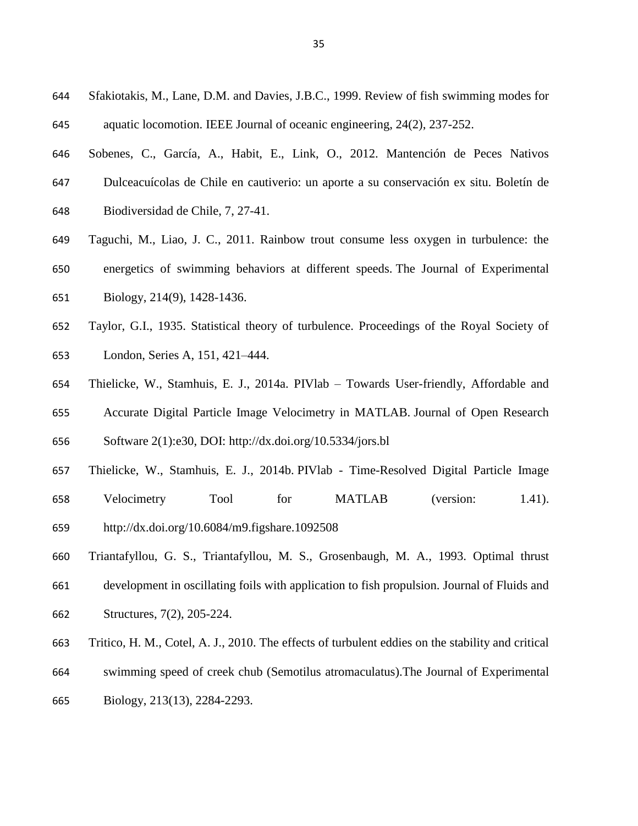- Sfakiotakis, M., Lane, D.M. and Davies, J.B.C., 1999. Review of fish swimming modes for aquatic locomotion. IEEE Journal of oceanic engineering, 24(2), 237-252.
- Sobenes, C., García, A., Habit, E., Link, O., 2012. Mantención de Peces Nativos
- Dulceacuícolas de Chile en cautiverio: un aporte a su conservación ex situ. Boletín de
- Biodiversidad de Chile, 7, 27-41.
- Taguchi, M., Liao, J. C., 2011. Rainbow trout consume less oxygen in turbulence: the energetics of swimming behaviors at different speeds. The Journal of Experimental
- Biology, 214(9), 1428-1436.
- Taylor, G.I., 1935. Statistical theory of turbulence. Proceedings of the Royal Society of London, Series A, 151, 421–444.
- Thielicke, W., Stamhuis, E. J., 2014a. PIVlab Towards User-friendly, Affordable and Accurate Digital Particle Image Velocimetry in MATLAB. Journal of Open Research Software 2(1):e30, DOI: <http://dx.doi.org/10.5334/jors.bl>
- Thielicke, W., Stamhuis, E. J., 2014b. PIVlab Time-Resolved Digital Particle Image Velocimetry Tool for MATLAB (version: 1.41). <http://dx.doi.org/10.6084/m9.figshare.1092508>
- Triantafyllou, G. S., Triantafyllou, M. S., Grosenbaugh, M. A., 1993. Optimal thrust development in oscillating foils with application to fish propulsion. Journal of Fluids and Structures, 7(2), 205-224.
- Tritico, H. M., Cotel, A. J., 2010. The effects of turbulent eddies on the stability and critical
- swimming speed of creek chub (Semotilus atromaculatus).The Journal of Experimental
- Biology, 213(13), 2284-2293.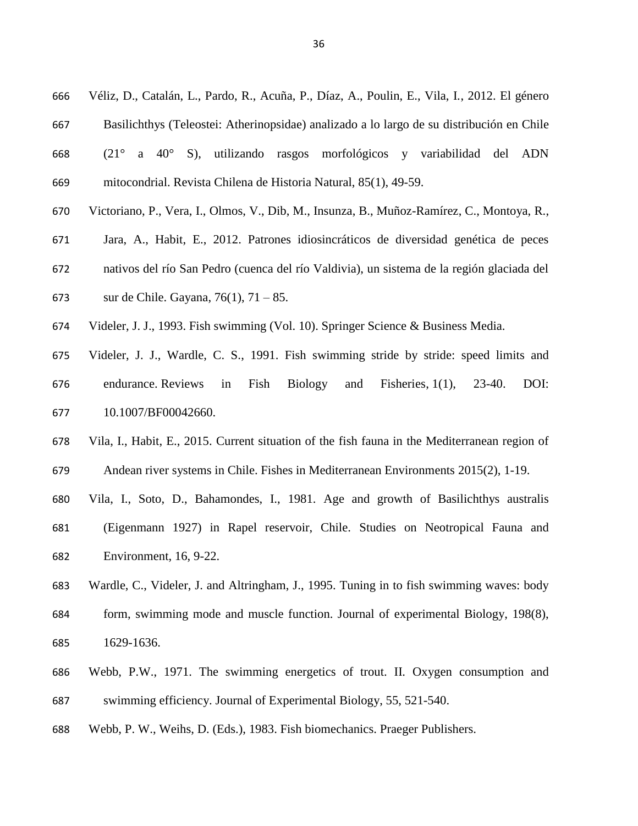- Véliz, D., Catalán, L., Pardo, R., Acuña, P., Díaz, A., Poulin, E., Vila, I., 2012. El género
- Basilichthys (Teleostei: Atherinopsidae) analizado a lo largo de su distribución en Chile
- (21° a 40° S), utilizando rasgos morfológicos y variabilidad del ADN mitocondrial. Revista Chilena de Historia Natural, 85(1), 49-59.
- Victoriano, P., Vera, I., Olmos, V., Dib, M., Insunza, B., Muñoz-Ramírez, C., Montoya, R.,
- Jara, A., Habit, E., 2012. Patrones idiosincráticos de diversidad genética de peces
- nativos del río San Pedro (cuenca del río Valdivia), un sistema de la región glaciada del
- sur de Chile. Gayana, 76(1), 71 85.
- Videler, J. J., 1993. Fish swimming (Vol. 10). Springer Science & Business Media.
- Videler, J. J., Wardle, C. S., 1991. Fish swimming stride by stride: speed limits and endurance. Reviews in Fish Biology and Fisheries, 1(1), 23-40. DOI: 10.1007/BF00042660.
- Vila, I., Habit, E., 2015. Current situation of the fish fauna in the Mediterranean region of
- Andean river systems in Chile. Fishes in Mediterranean Environments 2015(2), 1-19.
- Vila, I., Soto, D., Bahamondes, I., 1981. Age and growth of Basilichthys australis
- (Eigenmann 1927) in Rapel reservoir, Chile. Studies on Neotropical Fauna and Environment, 16, 9-22.
- Wardle, C., Videler, J. and Altringham, J., 1995. Tuning in to fish swimming waves: body
- form, swimming mode and muscle function. Journal of experimental Biology, 198(8), 1629-1636.
- Webb, P.W., 1971. The swimming energetics of trout. II. Oxygen consumption and swimming efficiency. Journal of Experimental Biology, 55, 521-540.
- Webb, P. W., Weihs, D. (Eds.), 1983. Fish biomechanics. Praeger Publishers.